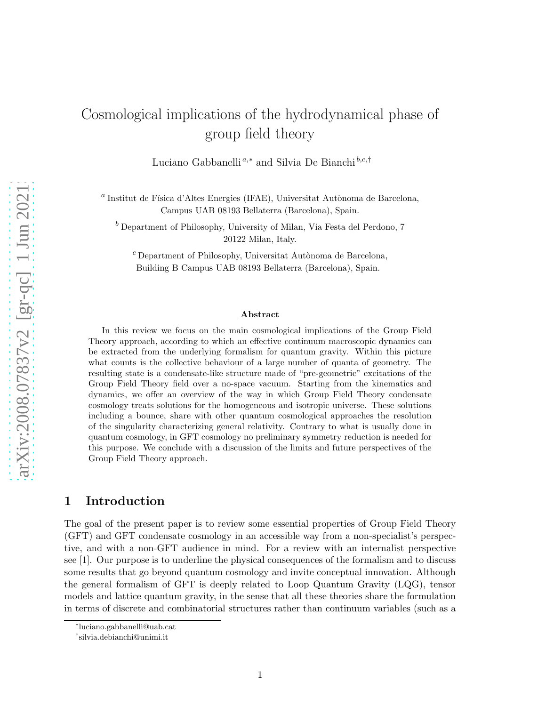# Cosmological implications of the hydrodynamical phase of group field theory

Luciano Gabbanelli<sup>a,\*</sup> and Silvia De Bianchi<sup>b,c,†</sup>

 $^a$ Institut de Física d'Altes Energies (IFAE), Universitat Autònoma de Barcelona, Campus UAB 08193 Bellaterra (Barcelona), Spain.

 $<sup>b</sup>$  Department of Philosophy, University of Milan, Via Festa del Perdono, 7</sup> 20122 Milan, Italy.

 $^c$ Department of Philosophy, Universitat Autònoma de Barcelona, Building B Campus UAB 08193 Bellaterra (Barcelona), Spain.

#### Abstract

In this review we focus on the main cosmological implications of the Group Field Theory approach, according to which an effective continuum macroscopic dynamics can be extracted from the underlying formalism for quantum gravity. Within this picture what counts is the collective behaviour of a large number of quanta of geometry. The resulting state is a condensate-like structure made of "pre-geometric" excitations of the Group Field Theory field over a no-space vacuum. Starting from the kinematics and dynamics, we offer an overview of the way in which Group Field Theory condensate cosmology treats solutions for the homogeneous and isotropic universe. These solutions including a bounce, share with other quantum cosmological approaches the resolution of the singularity characterizing general relativity. Contrary to what is usually done in quantum cosmology, in GFT cosmology no preliminary symmetry reduction is needed for this purpose. We conclude with a discussion of the limits and future perspectives of the Group Field Theory approach.

## 1 Introduction

The goal of the present paper is to review some essential properties of Group Field Theory (GFT) and GFT condensate cosmology in an accessible way from a non-specialist's perspective, and with a non-GFT audience in mind. For a review with an internalist perspective see [\[1\]](#page-27-0). Our purpose is to underline the physical consequences of the formalism and to discuss some results that go beyond quantum cosmology and invite conceptual innovation. Although the general formalism of GFT is deeply related to Loop Quantum Gravity (LQG), tensor models and lattice quantum gravity, in the sense that all these theories share the formulation in terms of discrete and combinatorial structures rather than continuum variables (such as a

<sup>∗</sup> luciano.gabbanelli@uab.cat

<sup>†</sup> silvia.debianchi@unimi.it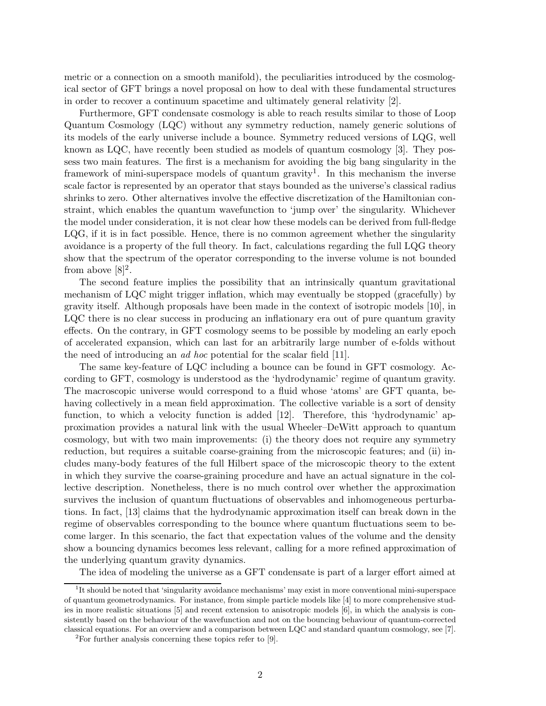metric or a connection on a smooth manifold), the peculiarities introduced by the cosmological sector of GFT brings a novel proposal on how to deal with these fundamental structures in order to recover a continuum spacetime and ultimately general relativity [\[2\]](#page-27-1).

Furthermore, GFT condensate cosmology is able to reach results similar to those of Loop Quantum Cosmology (LQC) without any symmetry reduction, namely generic solutions of its models of the early universe include a bounce. Symmetry reduced versions of LQG, well known as LQC, have recently been studied as models of quantum cosmology [\[3\]](#page-27-2). They possess two main features. The first is a mechanism for avoiding the big bang singularity in the framework of mini-superspace models of quantum gravity<sup>[1](#page-1-0)</sup>. In this mechanism the inverse scale factor is represented by an operator that stays bounded as the universe's classical radius shrinks to zero. Other alternatives involve the effective discretization of the Hamiltonian constraint, which enables the quantum wavefunction to 'jump over' the singularity. Whichever the model under consideration, it is not clear how these models can be derived from full-fledge LQG, if it is in fact possible. Hence, there is no common agreement whether the singularity avoidance is a property of the full theory. In fact, calculations regarding the full LQG theory show that the spectrum of the operator corresponding to the inverse volume is not bounded from above  $[8]^2$  $[8]^2$ .

The second feature implies the possibility that an intrinsically quantum gravitational mechanism of LQC might trigger inflation, which may eventually be stopped (gracefully) by gravity itself. Although proposals have been made in the context of isotropic models [\[10\]](#page-27-4), in LQC there is no clear success in producing an inflationary era out of pure quantum gravity effects. On the contrary, in GFT cosmology seems to be possible by modeling an early epoch of accelerated expansion, which can last for an arbitrarily large number of e-folds without the need of introducing an ad hoc potential for the scalar field [\[11\]](#page-27-5).

The same key-feature of LQC including a bounce can be found in GFT cosmology. According to GFT, cosmology is understood as the 'hydrodynamic' regime of quantum gravity. The macroscopic universe would correspond to a fluid whose 'atoms' are GFT quanta, behaving collectively in a mean field approximation. The collective variable is a sort of density function, to which a velocity function is added [\[12\]](#page-27-6). Therefore, this 'hydrodynamic' approximation provides a natural link with the usual Wheeler–DeWitt approach to quantum cosmology, but with two main improvements: (i) the theory does not require any symmetry reduction, but requires a suitable coarse-graining from the microscopic features; and (ii) includes many-body features of the full Hilbert space of the microscopic theory to the extent in which they survive the coarse-graining procedure and have an actual signature in the collective description. Nonetheless, there is no much control over whether the approximation survives the inclusion of quantum fluctuations of observables and inhomogeneous perturbations. In fact, [\[13\]](#page-27-7) claims that the hydrodynamic approximation itself can break down in the regime of observables corresponding to the bounce where quantum fluctuations seem to become larger. In this scenario, the fact that expectation values of the volume and the density show a bouncing dynamics becomes less relevant, calling for a more refined approximation of the underlying quantum gravity dynamics.

The idea of modeling the universe as a GFT condensate is part of a larger effort aimed at

<span id="page-1-0"></span><sup>&</sup>lt;sup>1</sup>It should be noted that 'singularity avoidance mechanisms' may exist in more conventional mini-superspace of quantum geometrodynamics. For instance, from simple particle models like [\[4\]](#page-27-8) to more comprehensive studies in more realistic situations [\[5\]](#page-27-9) and recent extension to anisotropic models [\[6\]](#page-27-10), in which the analysis is consistently based on the behaviour of the wavefunction and not on the bouncing behaviour of quantum-corrected classical equations. For an overview and a comparison between LQC and standard quantum cosmology, see [\[7\]](#page-27-11).

<span id="page-1-1"></span> $2$ For further analysis concerning these topics refer to [\[9\]](#page-27-12).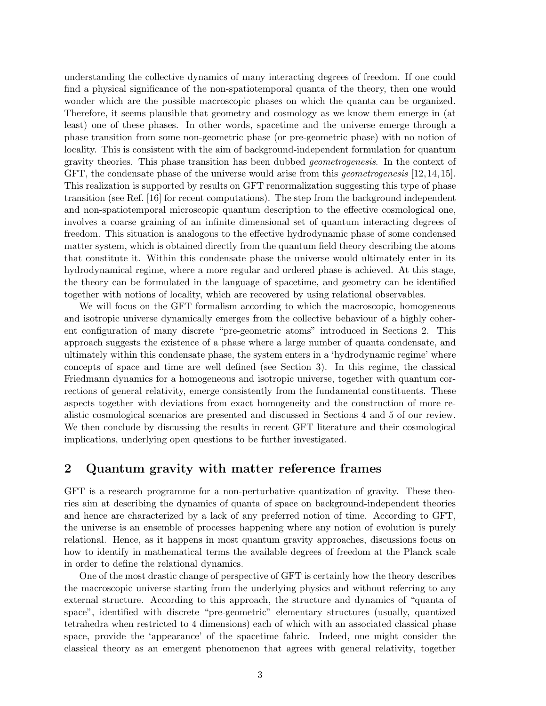understanding the collective dynamics of many interacting degrees of freedom. If one could find a physical significance of the non-spatiotemporal quanta of the theory, then one would wonder which are the possible macroscopic phases on which the quanta can be organized. Therefore, it seems plausible that geometry and cosmology as we know them emerge in (at least) one of these phases. In other words, spacetime and the universe emerge through a phase transition from some non-geometric phase (or pre-geometric phase) with no notion of locality. This is consistent with the aim of background-independent formulation for quantum gravity theories. This phase transition has been dubbed geometrogenesis. In the context of GFT, the condensate phase of the universe would arise from this *geometrogenesis* [\[12,](#page-27-6) [14,](#page-28-0) [15\]](#page-28-1). This realization is supported by results on GFT renormalization suggesting this type of phase transition (see Ref. [\[16\]](#page-28-2) for recent computations). The step from the background independent and non-spatiotemporal microscopic quantum description to the effective cosmological one, involves a coarse graining of an infinite dimensional set of quantum interacting degrees of freedom. This situation is analogous to the effective hydrodynamic phase of some condensed matter system, which is obtained directly from the quantum field theory describing the atoms that constitute it. Within this condensate phase the universe would ultimately enter in its hydrodynamical regime, where a more regular and ordered phase is achieved. At this stage, the theory can be formulated in the language of spacetime, and geometry can be identified together with notions of locality, which are recovered by using relational observables.

We will focus on the GFT formalism according to which the macroscopic, homogeneous and isotropic universe dynamically emerges from the collective behaviour of a highly coherent configuration of many discrete "pre-geometric atoms" introduced in Sections [2.](#page-2-0) This approach suggests the existence of a phase where a large number of quanta condensate, and ultimately within this condensate phase, the system enters in a 'hydrodynamic regime' where concepts of space and time are well defined (see Section [3\)](#page-8-0). In this regime, the classical Friedmann dynamics for a homogeneous and isotropic universe, together with quantum corrections of general relativity, emerge consistently from the fundamental constituents. These aspects together with deviations from exact homogeneity and the construction of more realistic cosmological scenarios are presented and discussed in Sections [4](#page-15-0) and [5](#page-18-0) of our review. We then conclude by discussing the results in recent GFT literature and their cosmological implications, underlying open questions to be further investigated.

## <span id="page-2-0"></span>2 Quantum gravity with matter reference frames

GFT is a research programme for a non-perturbative quantization of gravity. These theories aim at describing the dynamics of quanta of space on background-independent theories and hence are characterized by a lack of any preferred notion of time. According to GFT, the universe is an ensemble of processes happening where any notion of evolution is purely relational. Hence, as it happens in most quantum gravity approaches, discussions focus on how to identify in mathematical terms the available degrees of freedom at the Planck scale in order to define the relational dynamics.

One of the most drastic change of perspective of GFT is certainly how the theory describes the macroscopic universe starting from the underlying physics and without referring to any external structure. According to this approach, the structure and dynamics of "quanta of space", identified with discrete "pre-geometric" elementary structures (usually, quantized tetrahedra when restricted to 4 dimensions) each of which with an associated classical phase space, provide the 'appearance' of the spacetime fabric. Indeed, one might consider the classical theory as an emergent phenomenon that agrees with general relativity, together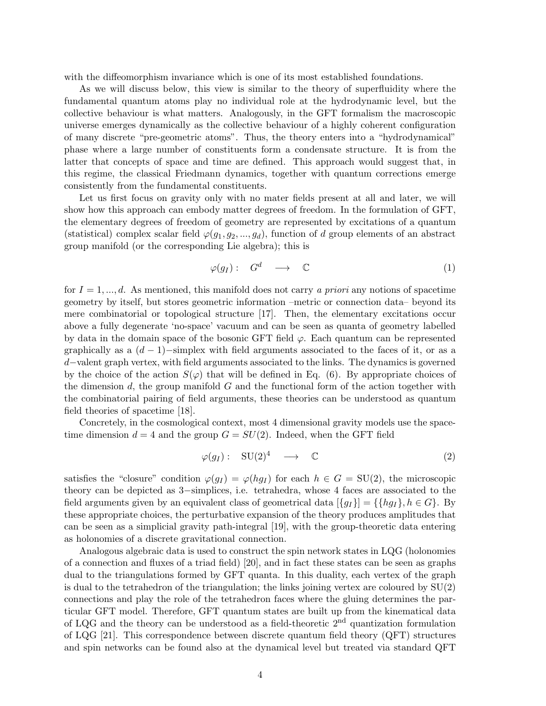with the diffeomorphism invariance which is one of its most established foundations.

As we will discuss below, this view is similar to the theory of superfluidity where the fundamental quantum atoms play no individual role at the hydrodynamic level, but the collective behaviour is what matters. Analogously, in the GFT formalism the macroscopic universe emerges dynamically as the collective behaviour of a highly coherent configuration of many discrete "pre-geometric atoms". Thus, the theory enters into a "hydrodynamical" phase where a large number of constituents form a condensate structure. It is from the latter that concepts of space and time are defined. This approach would suggest that, in this regime, the classical Friedmann dynamics, together with quantum corrections emerge consistently from the fundamental constituents.

Let us first focus on gravity only with no mater fields present at all and later, we will show how this approach can embody matter degrees of freedom. In the formulation of GFT, the elementary degrees of freedom of geometry are represented by excitations of a quantum (statistical) complex scalar field  $\varphi(g_1, g_2, ..., g_d)$ , function of d group elements of an abstract group manifold (or the corresponding Lie algebra); this is

$$
\varphi(g_I): G^d \longrightarrow \mathbb{C} \tag{1}
$$

for  $I = 1, ..., d$ . As mentioned, this manifold does not carry a priori any notions of spacetime geometry by itself, but stores geometric information –metric or connection data– beyond its mere combinatorial or topological structure [\[17\]](#page-28-3). Then, the elementary excitations occur above a fully degenerate 'no-space' vacuum and can be seen as quanta of geometry labelled by data in the domain space of the bosonic GFT field  $\varphi$ . Each quantum can be represented graphically as a  $(d-1)$ -simplex with field arguments associated to the faces of it, or as a d−valent graph vertex, with field arguments associated to the links. The dynamics is governed by the choice of the action  $S(\varphi)$  that will be defined in Eq. [\(6\)](#page-6-0). By appropriate choices of the dimension  $d$ , the group manifold  $G$  and the functional form of the action together with the combinatorial pairing of field arguments, these theories can be understood as quantum field theories of spacetime [\[18\]](#page-28-4).

Concretely, in the cosmological context, most 4 dimensional gravity models use the spacetime dimension  $d = 4$  and the group  $G = SU(2)$ . Indeed, when the GFT field

<span id="page-3-0"></span>
$$
\varphi(g_I): \quad \mathrm{SU}(2)^4 \quad \longrightarrow \quad \mathbb{C} \tag{2}
$$

satisfies the "closure" condition  $\varphi(g_I) = \varphi(hg_I)$  for each  $h \in G = SU(2)$ , the microscopic theory can be depicted as 3−simplices, i.e. tetrahedra, whose 4 faces are associated to the field arguments given by an equivalent class of geometrical data  $\{g_I\} = \{h g_I\}, h \in G\}$ . By these appropriate choices, the perturbative expansion of the theory produces amplitudes that can be seen as a simplicial gravity path-integral [\[19\]](#page-28-5), with the group-theoretic data entering as holonomies of a discrete gravitational connection.

Analogous algebraic data is used to construct the spin network states in LQG (holonomies of a connection and fluxes of a triad field) [\[20\]](#page-28-6), and in fact these states can be seen as graphs dual to the triangulations formed by GFT quanta. In this duality, each vertex of the graph is dual to the tetrahedron of the triangulation; the links joining vertex are coloured by SU(2) connections and play the role of the tetrahedron faces where the gluing determines the particular GFT model. Therefore, GFT quantum states are built up from the kinematical data of LQG and the theory can be understood as a field-theoretic 2nd quantization formulation of LQG [\[21\]](#page-28-7). This correspondence between discrete quantum field theory (QFT) structures and spin networks can be found also at the dynamical level but treated via standard QFT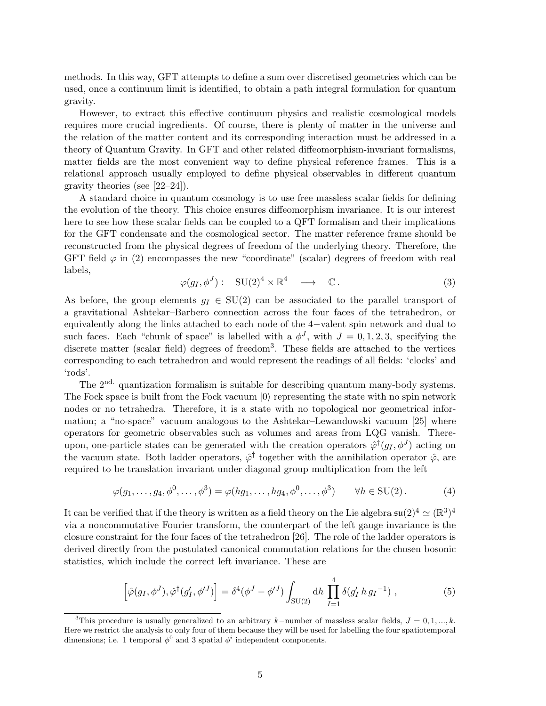methods. In this way, GFT attempts to define a sum over discretised geometries which can be used, once a continuum limit is identified, to obtain a path integral formulation for quantum gravity.

However, to extract this effective continuum physics and realistic cosmological models requires more crucial ingredients. Of course, there is plenty of matter in the universe and the relation of the matter content and its corresponding interaction must be addressed in a theory of Quantum Gravity. In GFT and other related diffeomorphism-invariant formalisms, matter fields are the most convenient way to define physical reference frames. This is a relational approach usually employed to define physical observables in different quantum gravity theories (see [\[22–](#page-28-8)[24\]](#page-28-9)).

A standard choice in quantum cosmology is to use free massless scalar fields for defining the evolution of the theory. This choice ensures diffeomorphism invariance. It is our interest here to see how these scalar fields can be coupled to a QFT formalism and their implications for the GFT condensate and the cosmological sector. The matter reference frame should be reconstructed from the physical degrees of freedom of the underlying theory. Therefore, the GFT field  $\varphi$  in [\(2\)](#page-3-0) encompasses the new "coordinate" (scalar) degrees of freedom with real labels,

$$
\varphi(g_I, \phi^J) : \quad \text{SU}(2)^4 \times \mathbb{R}^4 \quad \longrightarrow \quad \mathbb{C} \,. \tag{3}
$$

As before, the group elements  $g_I \in SU(2)$  can be associated to the parallel transport of a gravitational Ashtekar–Barbero connection across the four faces of the tetrahedron, or equivalently along the links attached to each node of the 4−valent spin network and dual to such faces. Each "chunk of space" is labelled with a  $\phi^J$ , with  $J = 0, 1, 2, 3$ , specifying the discrete matter (scalar field) degrees of freedom<sup>[3](#page-4-0)</sup>. These fields are attached to the vertices corresponding to each tetrahedron and would represent the readings of all fields: 'clocks' and 'rods'.

The 2<sup>nd.</sup> quantization formalism is suitable for describing quantum many-body systems. The Fock space is built from the Fock vacuum  $|0\rangle$  representing the state with no spin network nodes or no tetrahedra. Therefore, it is a state with no topological nor geometrical information; a "no-space" vacuum analogous to the Ashtekar–Lewandowski vacuum [\[25\]](#page-29-0) where operators for geometric observables such as volumes and areas from LQG vanish. Thereupon, one-particle states can be generated with the creation operators  $\hat{\varphi}^{\dagger}(g_I, \phi^J)$  acting on the vacuum state. Both ladder operators,  $\hat{\varphi}^{\dagger}$  together with the annihilation operator  $\hat{\varphi}$ , are required to be translation invariant under diagonal group multiplication from the left

<span id="page-4-1"></span>
$$
\varphi(g_1,\ldots,g_4,\phi^0,\ldots,\phi^3) = \varphi(hg_1,\ldots,hg_4,\phi^0,\ldots,\phi^3) \qquad \forall h \in \text{SU}(2). \tag{4}
$$

It can be verified that if the theory is written as a field theory on the Lie algebra  $\mathfrak{su}(2)^4 \simeq (\mathbb{R}^3)^4$ via a noncommutative Fourier transform, the counterpart of the left gauge invariance is the closure constraint for the four faces of the tetrahedron [\[26\]](#page-29-1). The role of the ladder operators is derived directly from the postulated canonical commutation relations for the chosen bosonic statistics, which include the correct left invariance. These are

$$
\left[\hat{\varphi}(g_I, \phi^J), \hat{\varphi}^\dagger(g'_I, \phi'^J)\right] = \delta^4(\phi^J - \phi'^J) \int_{\text{SU}(2)} \text{d}h \prod_{I=1}^4 \delta(g'_I \, h \, g_I^{-1}) \;, \tag{5}
$$

<span id="page-4-0"></span><sup>&</sup>lt;sup>3</sup>This procedure is usually generalized to an arbitrary k–number of massless scalar fields,  $J = 0, 1, ..., k$ . Here we restrict the analysis to only four of them because they will be used for labelling the four spatiotemporal dimensions; i.e. 1 temporal  $\phi^0$  and 3 spatial  $\phi^i$  independent components.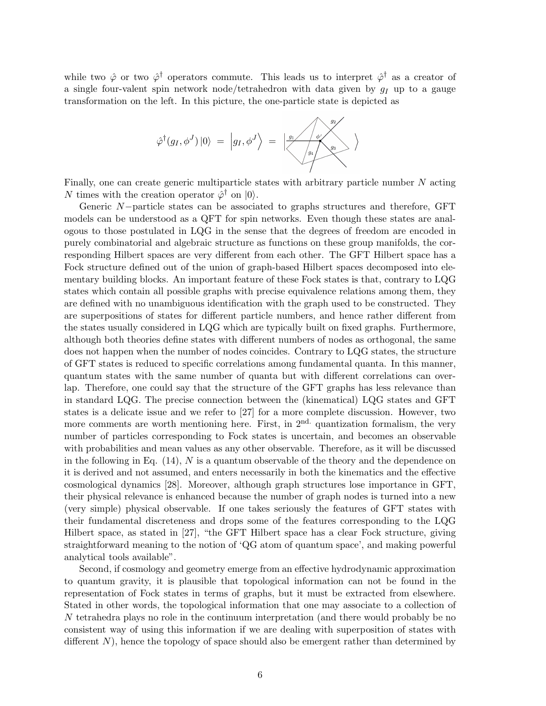while two  $\hat{\varphi}$  or two  $\hat{\varphi}^{\dagger}$  operators commute. This leads us to interpret  $\hat{\varphi}^{\dagger}$  as a creator of a single four-valent spin network node/tetrahedron with data given by  $q_I$  up to a gauge transformation on the left. In this picture, the one-particle state is depicted as



Finally, one can create generic multiparticle states with arbitrary particle number  $N$  acting N times with the creation operator  $\hat{\varphi}^{\dagger}$  on  $|0\rangle$ .

Generic N−particle states can be associated to graphs structures and therefore, GFT models can be understood as a QFT for spin networks. Even though these states are analogous to those postulated in LQG in the sense that the degrees of freedom are encoded in purely combinatorial and algebraic structure as functions on these group manifolds, the corresponding Hilbert spaces are very different from each other. The GFT Hilbert space has a Fock structure defined out of the union of graph-based Hilbert spaces decomposed into elementary building blocks. An important feature of these Fock states is that, contrary to LQG states which contain all possible graphs with precise equivalence relations among them, they are defined with no unambiguous identification with the graph used to be constructed. They are superpositions of states for different particle numbers, and hence rather different from the states usually considered in LQG which are typically built on fixed graphs. Furthermore, although both theories define states with different numbers of nodes as orthogonal, the same does not happen when the number of nodes coincides. Contrary to LQG states, the structure of GFT states is reduced to specific correlations among fundamental quanta. In this manner, quantum states with the same number of quanta but with different correlations can overlap. Therefore, one could say that the structure of the GFT graphs has less relevance than in standard LQG. The precise connection between the (kinematical) LQG states and GFT states is a delicate issue and we refer to [\[27\]](#page-29-2) for a more complete discussion. However, two more comments are worth mentioning here. First, in  $2<sup>nd</sup>$  quantization formalism, the very number of particles corresponding to Fock states is uncertain, and becomes an observable with probabilities and mean values as any other observable. Therefore, as it will be discussed in the following in Eq.  $(14)$ , N is a quantum observable of the theory and the dependence on it is derived and not assumed, and enters necessarily in both the kinematics and the effective cosmological dynamics [\[28\]](#page-29-3). Moreover, although graph structures lose importance in GFT, their physical relevance is enhanced because the number of graph nodes is turned into a new (very simple) physical observable. If one takes seriously the features of GFT states with their fundamental discreteness and drops some of the features corresponding to the LQG Hilbert space, as stated in [\[27\]](#page-29-2), "the GFT Hilbert space has a clear Fock structure, giving straightforward meaning to the notion of 'QG atom of quantum space', and making powerful analytical tools available".

Second, if cosmology and geometry emerge from an effective hydrodynamic approximation to quantum gravity, it is plausible that topological information can not be found in the representation of Fock states in terms of graphs, but it must be extracted from elsewhere. Stated in other words, the topological information that one may associate to a collection of N tetrahedra plays no role in the continuum interpretation (and there would probably be no consistent way of using this information if we are dealing with superposition of states with different N), hence the topology of space should also be emergent rather than determined by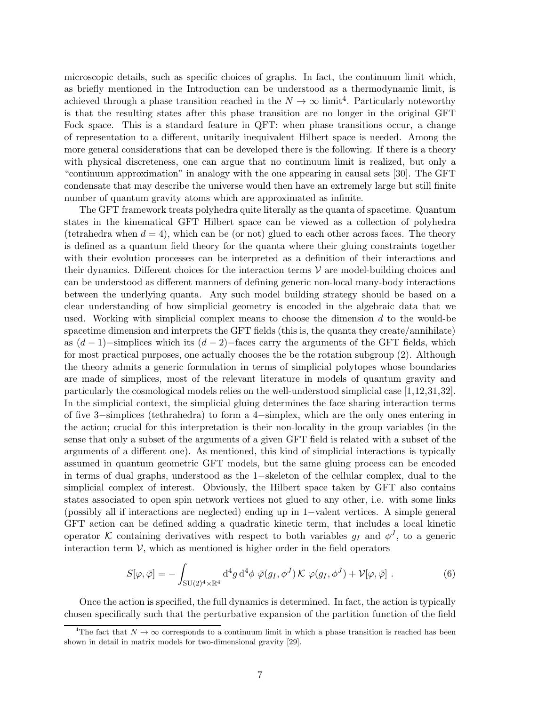microscopic details, such as specific choices of graphs. In fact, the continuum limit which, as briefly mentioned in the Introduction can be understood as a thermodynamic limit, is achieved through a phase transition reached in the  $N \to \infty$  limit<sup>[4](#page-6-1)</sup>. Particularly noteworthy is that the resulting states after this phase transition are no longer in the original GFT Fock space. This is a standard feature in QFT: when phase transitions occur, a change of representation to a different, unitarily inequivalent Hilbert space is needed. Among the more general considerations that can be developed there is the following. If there is a theory with physical discreteness, one can argue that no continuum limit is realized, but only a "continuum approximation" in analogy with the one appearing in causal sets [\[30\]](#page-29-4). The GFT condensate that may describe the universe would then have an extremely large but still finite number of quantum gravity atoms which are approximated as infinite.

The GFT framework treats polyhedra quite literally as the quanta of spacetime. Quantum states in the kinematical GFT Hilbert space can be viewed as a collection of polyhedra (tetrahedra when  $d = 4$ ), which can be (or not) glued to each other across faces. The theory is defined as a quantum field theory for the quanta where their gluing constraints together with their evolution processes can be interpreted as a definition of their interactions and their dynamics. Different choices for the interaction terms  $V$  are model-building choices and can be understood as different manners of defining generic non-local many-body interactions between the underlying quanta. Any such model building strategy should be based on a clear understanding of how simplicial geometry is encoded in the algebraic data that we used. Working with simplicial complex means to choose the dimension  $d$  to the would-be spacetime dimension and interprets the GFT fields (this is, the quanta they create/annihilate) as  $(d-1)$ –simplices which its  $(d-2)$ –faces carry the arguments of the GFT fields, which for most practical purposes, one actually chooses the be the rotation subgroup [\(2\)](#page-3-0). Although the theory admits a generic formulation in terms of simplicial polytopes whose boundaries are made of simplices, most of the relevant literature in models of quantum gravity and particularly the cosmological models relies on the well-understood simplicial case [\[1,](#page-27-0)[12,](#page-27-6)[31,](#page-29-5)[32\]](#page-29-6). In the simplicial context, the simplicial gluing determines the face sharing interaction terms of five 3−simplices (tethrahedra) to form a 4−simplex, which are the only ones entering in the action; crucial for this interpretation is their non-locality in the group variables (in the sense that only a subset of the arguments of a given GFT field is related with a subset of the arguments of a different one). As mentioned, this kind of simplicial interactions is typically assumed in quantum geometric GFT models, but the same gluing process can be encoded in terms of dual graphs, understood as the 1−skeleton of the cellular complex, dual to the simplicial complex of interest. Obviously, the Hilbert space taken by GFT also contains states associated to open spin network vertices not glued to any other, i.e. with some links (possibly all if interactions are neglected) ending up in 1−valent vertices. A simple general GFT action can be defined adding a quadratic kinetic term, that includes a local kinetic operator K containing derivatives with respect to both variables  $g_I$  and  $\phi^J$ , to a generic interaction term  $V$ , which as mentioned is higher order in the field operators

<span id="page-6-0"></span>
$$
S[\varphi,\bar{\varphi}] = -\int_{\mathrm{SU}(2)^4 \times \mathbb{R}^4} \mathrm{d}^4 g \, \mathrm{d}^4 \phi \, \bar{\varphi}(g_I,\phi^J) \mathcal{K} \, \varphi(g_I,\phi^J) + \mathcal{V}[\varphi,\bar{\varphi}] \; . \tag{6}
$$

Once the action is specified, the full dynamics is determined. In fact, the action is typically chosen specifically such that the perturbative expansion of the partition function of the field

<span id="page-6-1"></span><sup>&</sup>lt;sup>4</sup>The fact that  $N \to \infty$  corresponds to a continuum limit in which a phase transition is reached has been shown in detail in matrix models for two-dimensional gravity [\[29\]](#page-29-7).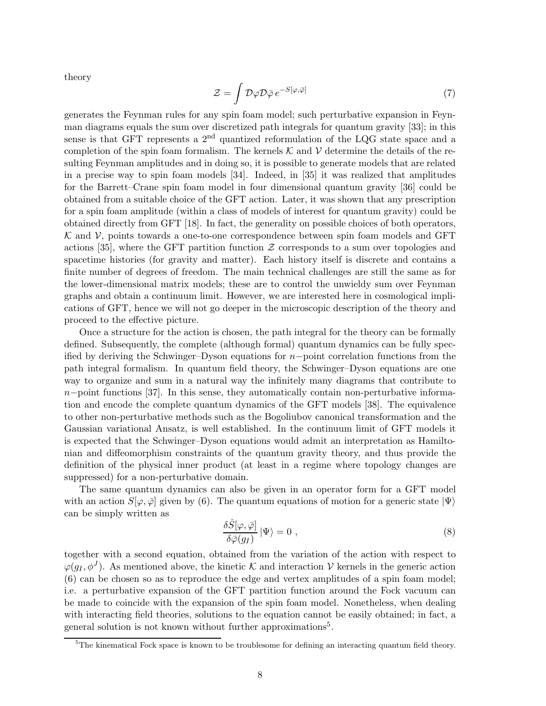theory

$$
\mathcal{Z} = \int \mathcal{D}\varphi \mathcal{D}\bar{\varphi} \, e^{-S[\varphi,\bar{\varphi}]}\n\tag{7}
$$

generates the Feynman rules for any spin foam model; such perturbative expansion in Feynman diagrams equals the sum over discretized path integrals for quantum gravity [\[33\]](#page-29-8); in this sense is that GFT represents a  $2<sup>nd</sup>$  quantized reformulation of the LQG state space and a completion of the spin foam formalism. The kernels  $K$  and  $V$  determine the details of the resulting Feynman amplitudes and in doing so, it is possible to generate models that are related in a precise way to spin foam models [\[34\]](#page-29-9). Indeed, in [\[35\]](#page-29-10) it was realized that amplitudes for the Barrett–Crane spin foam model in four dimensional quantum gravity [\[36\]](#page-29-11) could be obtained from a suitable choice of the GFT action. Later, it was shown that any prescription for a spin foam amplitude (within a class of models of interest for quantum gravity) could be obtained directly from GFT [\[18\]](#page-28-4). In fact, the generality on possible choices of both operators,  $K$  and  $V$ , points towards a one-to-one correspondence between spin foam models and GFT actions [\[35\]](#page-29-10), where the GFT partition function  $\mathcal Z$  corresponds to a sum over topologies and spacetime histories (for gravity and matter). Each history itself is discrete and contains a finite number of degrees of freedom. The main technical challenges are still the same as for the lower-dimensional matrix models; these are to control the unwieldy sum over Feynman graphs and obtain a continuum limit. However, we are interested here in cosmological implications of GFT, hence we will not go deeper in the microscopic description of the theory and proceed to the effective picture.

Once a structure for the action is chosen, the path integral for the theory can be formally defined. Subsequently, the complete (although formal) quantum dynamics can be fully specified by deriving the Schwinger–Dyson equations for n−point correlation functions from the path integral formalism. In quantum field theory, the Schwinger–Dyson equations are one way to organize and sum in a natural way the infinitely many diagrams that contribute to n−point functions [\[37\]](#page-29-12). In this sense, they automatically contain non-perturbative information and encode the complete quantum dynamics of the GFT models [\[38\]](#page-29-13). The equivalence to other non-perturbative methods such as the Bogoliubov canonical transformation and the Gaussian variational Ansatz, is well established. In the continuum limit of GFT models it is expected that the Schwinger–Dyson equations would admit an interpretation as Hamiltonian and diffeomorphism constraints of the quantum gravity theory, and thus provide the definition of the physical inner product (at least in a regime where topology changes are suppressed) for a non-perturbative domain.

The same quantum dynamics can also be given in an operator form for a GFT model with an action  $S[\varphi,\bar{\varphi}]$  given by [\(6\)](#page-6-0). The quantum equations of motion for a generic state  $|\Psi\rangle$ can be simply written as

<span id="page-7-1"></span>
$$
\frac{\delta \hat{S}[\varphi,\bar{\varphi}]}{\delta \bar{\varphi}(g_I)}\left|\Psi\right\rangle = 0 ,\qquad (8)
$$

together with a second equation, obtained from the variation of the action with respect to  $\varphi(g_I, \phi^J)$ . As mentioned above, the kinetic K and interaction V kernels in the generic action [\(6\)](#page-6-0) can be chosen so as to reproduce the edge and vertex amplitudes of a spin foam model; i.e. a perturbative expansion of the GFT partition function around the Fock vacuum can be made to coincide with the expansion of the spin foam model. Nonetheless, when dealing with interacting field theories, solutions to the equation cannot be easily obtained; in fact, a general solution is not known without further approximations<sup>[5](#page-7-0)</sup>.

<span id="page-7-0"></span><sup>&</sup>lt;sup>5</sup>The kinematical Fock space is known to be troublesome for defining an interacting quantum field theory.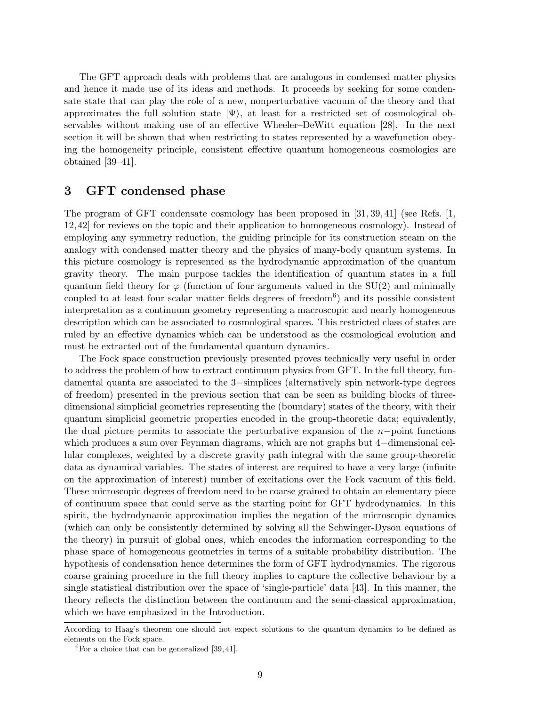The GFT approach deals with problems that are analogous in condensed matter physics and hence it made use of its ideas and methods. It proceeds by seeking for some condensate state that can play the role of a new, nonperturbative vacuum of the theory and that approximates the full solution state  $|\Psi\rangle$ , at least for a restricted set of cosmological observables without making use of an effective Wheeler–DeWitt equation [\[28\]](#page-29-3). In the next section it will be shown that when restricting to states represented by a wavefunction obeying the homogeneity principle, consistent effective quantum homogeneous cosmologies are obtained [\[39](#page-29-14)[–41\]](#page-30-0).

## <span id="page-8-0"></span>3 GFT condensed phase

The program of GFT condensate cosmology has been proposed in [\[31,](#page-29-5) [39,](#page-29-14) [41\]](#page-30-0) (see Refs. [\[1,](#page-27-0) [12,](#page-27-6) [42\]](#page-30-1) for reviews on the topic and their application to homogeneous cosmology). Instead of employing any symmetry reduction, the guiding principle for its construction steam on the analogy with condensed matter theory and the physics of many-body quantum systems. In this picture cosmology is represented as the hydrodynamic approximation of the quantum gravity theory. The main purpose tackles the identification of quantum states in a full quantum field theory for  $\varphi$  (function of four arguments valued in the SU(2) and minimally coupled to at least four scalar matter fields degrees of freedom<sup>[6](#page-8-1)</sup>) and its possible consistent interpretation as a continuum geometry representing a macroscopic and nearly homogeneous description which can be associated to cosmological spaces. This restricted class of states are ruled by an effective dynamics which can be understood as the cosmological evolution and must be extracted out of the fundamental quantum dynamics.

The Fock space construction previously presented proves technically very useful in order to address the problem of how to extract continuum physics from GFT. In the full theory, fundamental quanta are associated to the 3−simplices (alternatively spin network-type degrees of freedom) presented in the previous section that can be seen as building blocks of threedimensional simplicial geometries representing the (boundary) states of the theory, with their quantum simplicial geometric properties encoded in the group-theoretic data; equivalently, the dual picture permits to associate the perturbative expansion of the  $n-p$ oint functions which produces a sum over Feynman diagrams, which are not graphs but 4−dimensional cellular complexes, weighted by a discrete gravity path integral with the same group-theoretic data as dynamical variables. The states of interest are required to have a very large (infinite on the approximation of interest) number of excitations over the Fock vacuum of this field. These microscopic degrees of freedom need to be coarse grained to obtain an elementary piece of continuum space that could serve as the starting point for GFT hydrodynamics. In this spirit, the hydrodynamic approximation implies the negation of the microscopic dynamics (which can only be consistently determined by solving all the Schwinger-Dyson equations of the theory) in pursuit of global ones, which encodes the information corresponding to the phase space of homogeneous geometries in terms of a suitable probability distribution. The hypothesis of condensation hence determines the form of GFT hydrodynamics. The rigorous coarse graining procedure in the full theory implies to capture the collective behaviour by a single statistical distribution over the space of 'single-particle' data [\[43\]](#page-30-2). In this manner, the theory reflects the distinction between the continuum and the semi-classical approximation, which we have emphasized in the Introduction.

According to Haag's theorem one should not expect solutions to the quantum dynamics to be defined as elements on the Fock space.

<span id="page-8-1"></span> ${}^{6}$ For a choice that can be generalized [\[39,](#page-29-14) [41\]](#page-30-0).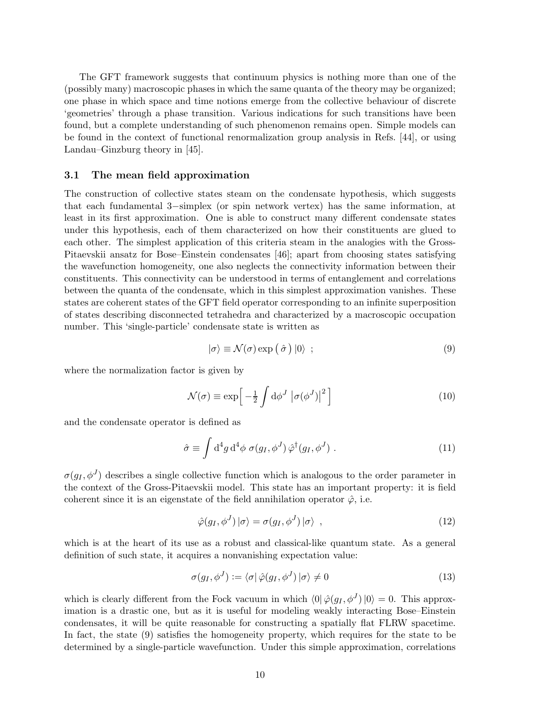The GFT framework suggests that continuum physics is nothing more than one of the (possibly many) macroscopic phases in which the same quanta of the theory may be organized; one phase in which space and time notions emerge from the collective behaviour of discrete 'geometries' through a phase transition. Various indications for such transitions have been found, but a complete understanding of such phenomenon remains open. Simple models can be found in the context of functional renormalization group analysis in Refs. [\[44\]](#page-30-3), or using Landau–Ginzburg theory in [\[45\]](#page-30-4).

## 3.1 The mean field approximation

The construction of collective states steam on the condensate hypothesis, which suggests that each fundamental 3−simplex (or spin network vertex) has the same information, at least in its first approximation. One is able to construct many different condensate states under this hypothesis, each of them characterized on how their constituents are glued to each other. The simplest application of this criteria steam in the analogies with the Gross-Pitaevskii ansatz for Bose–Einstein condensates [\[46\]](#page-30-5); apart from choosing states satisfying the wavefunction homogeneity, one also neglects the connectivity information between their constituents. This connectivity can be understood in terms of entanglement and correlations between the quanta of the condensate, which in this simplest approximation vanishes. These states are coherent states of the GFT field operator corresponding to an infinite superposition of states describing disconnected tetrahedra and characterized by a macroscopic occupation number. This 'single-particle' condensate state is written as

<span id="page-9-0"></span>
$$
|\sigma\rangle \equiv \mathcal{N}(\sigma) \exp\left(\hat{\sigma}\right) |0\rangle ; \qquad (9)
$$

where the normalization factor is given by

$$
\mathcal{N}(\sigma) \equiv \exp\left[-\frac{1}{2} \int d\phi^J \left| \sigma(\phi^J) \right|^2 \right]
$$
 (10)

and the condensate operator is defined as

$$
\hat{\sigma} \equiv \int d^4g \, d^4\phi \, \sigma(g_I, \phi^J) \, \hat{\varphi}^\dagger(g_I, \phi^J) \,. \tag{11}
$$

 $\sigma(g_I, \phi^J)$  describes a single collective function which is analogous to the order parameter in the context of the Gross-Pitaevskii model. This state has an important property: it is field coherent since it is an eigenstate of the field annihilation operator  $\hat{\varphi}$ , i.e.

$$
\hat{\varphi}(g_I, \phi^J) | \sigma \rangle = \sigma(g_I, \phi^J) | \sigma \rangle , \qquad (12)
$$

which is at the heart of its use as a robust and classical-like quantum state. As a general definition of such state, it acquires a nonvanishing expectation value:

$$
\sigma(g_I, \phi^J) := \langle \sigma | \hat{\varphi}(g_I, \phi^J) | \sigma \rangle \neq 0 \tag{13}
$$

which is clearly different from the Fock vacuum in which  $\langle 0 | \hat{\varphi}(g_I, \phi^J) | 0 \rangle = 0$ . This approximation is a drastic one, but as it is useful for modeling weakly interacting Bose–Einstein condensates, it will be quite reasonable for constructing a spatially flat FLRW spacetime. In fact, the state [\(9\)](#page-9-0) satisfies the homogeneity property, which requires for the state to be determined by a single-particle wavefunction. Under this simple approximation, correlations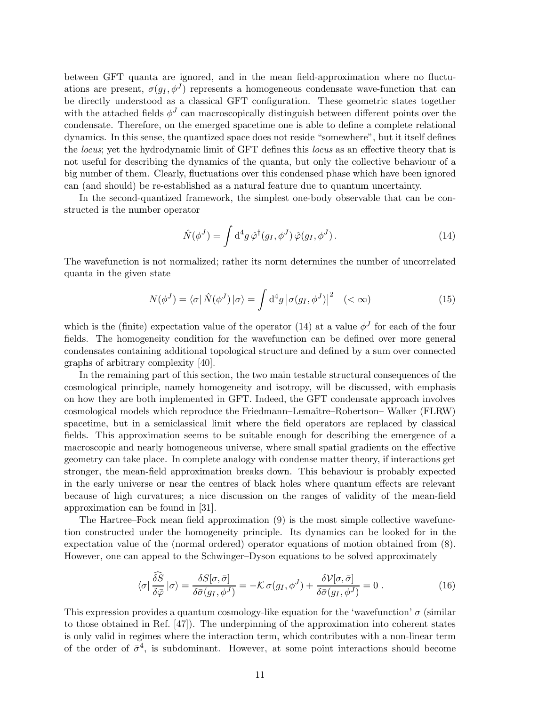between GFT quanta are ignored, and in the mean field-approximation where no fluctuations are present,  $\sigma(g_I, \phi^J)$  represents a homogeneous condensate wave-function that can be directly understood as a classical GFT configuration. These geometric states together with the attached fields  $\phi^J$  can macroscopically distinguish between different points over the condensate. Therefore, on the emerged spacetime one is able to define a complete relational dynamics. In this sense, the quantized space does not reside "somewhere", but it itself defines the locus; yet the hydrodynamic limit of GFT defines this locus as an effective theory that is not useful for describing the dynamics of the quanta, but only the collective behaviour of a big number of them. Clearly, fluctuations over this condensed phase which have been ignored can (and should) be re-established as a natural feature due to quantum uncertainty.

In the second-quantized framework, the simplest one-body observable that can be constructed is the number operator

<span id="page-10-0"></span>
$$
\hat{N}(\phi^J) = \int d^4g \,\hat{\varphi}^\dagger(g_I, \phi^J) \,\hat{\varphi}(g_I, \phi^J). \tag{14}
$$

The wavefunction is not normalized; rather its norm determines the number of uncorrelated quanta in the given state

$$
N(\phi^J) = \langle \sigma | \hat{N}(\phi^J) | \sigma \rangle = \int d^4g \left| \sigma(g_I, \phi^J) \right|^2 \quad (< \infty)
$$
 (15)

which is the (finite) expectation value of the operator [\(14\)](#page-10-0) at a value  $\phi^J$  for each of the four fields. The homogeneity condition for the wavefunction can be defined over more general condensates containing additional topological structure and defined by a sum over connected graphs of arbitrary complexity [\[40\]](#page-29-15).

In the remaining part of this section, the two main testable structural consequences of the cosmological principle, namely homogeneity and isotropy, will be discussed, with emphasis on how they are both implemented in GFT. Indeed, the GFT condensate approach involves cosmological models which reproduce the Friedmann–Lemaˆıtre–Robertson– Walker (FLRW) spacetime, but in a semiclassical limit where the field operators are replaced by classical fields. This approximation seems to be suitable enough for describing the emergence of a macroscopic and nearly homogeneous universe, where small spatial gradients on the effective geometry can take place. In complete analogy with condense matter theory, if interactions get stronger, the mean-field approximation breaks down. This behaviour is probably expected in the early universe or near the centres of black holes where quantum effects are relevant because of high curvatures; a nice discussion on the ranges of validity of the mean-field approximation can be found in [\[31\]](#page-29-5).

The Hartree–Fock mean field approximation [\(9\)](#page-9-0) is the most simple collective wavefunction constructed under the homogeneity principle. Its dynamics can be looked for in the expectation value of the (normal ordered) operator equations of motion obtained from [\(8\)](#page-7-1). However, one can appeal to the Schwinger–Dyson equations to be solved approximately

<span id="page-10-1"></span>
$$
\langle \sigma | \frac{\delta \tilde{S}}{\delta \bar{\varphi}} | \sigma \rangle = \frac{\delta S[\sigma, \bar{\sigma}]}{\delta \bar{\sigma}(g_I, \phi^J)} = -\mathcal{K} \sigma(g_I, \phi^J) + \frac{\delta \mathcal{V}[\sigma, \bar{\sigma}]}{\delta \bar{\sigma}(g_I, \phi^J)} = 0.
$$
 (16)

This expression provides a quantum cosmology-like equation for the 'wavefunction'  $\sigma$  (similar to those obtained in Ref. [\[47\]](#page-30-6)). The underpinning of the approximation into coherent states is only valid in regimes where the interaction term, which contributes with a non-linear term of the order of  $\bar{\sigma}^4$ , is subdominant. However, at some point interactions should become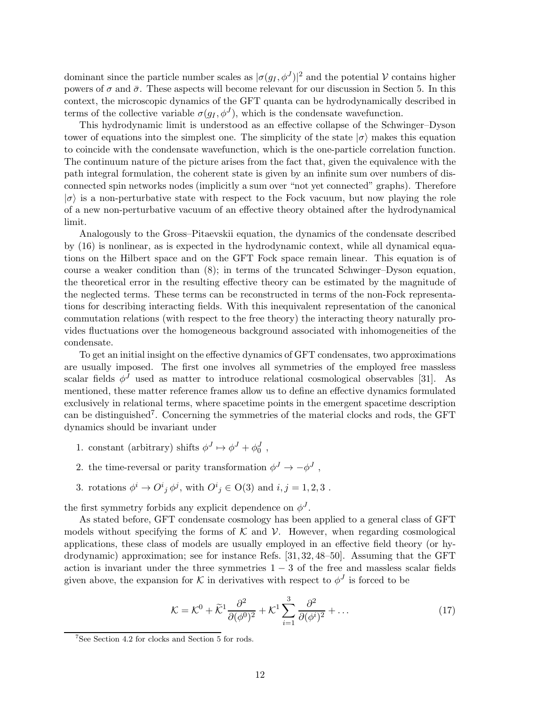dominant since the particle number scales as  $|\sigma(g_I, \phi^J)|^2$  and the potential V contains higher powers of  $\sigma$  and  $\bar{\sigma}$ . These aspects will become relevant for our discussion in Section [5.](#page-18-0) In this context, the microscopic dynamics of the GFT quanta can be hydrodynamically described in terms of the collective variable  $\sigma(g_I, \phi^J)$ , which is the condensate wavefunction.

This hydrodynamic limit is understood as an effective collapse of the Schwinger–Dyson tower of equations into the simplest one. The simplicity of the state  $|\sigma\rangle$  makes this equation to coincide with the condensate wavefunction, which is the one-particle correlation function. The continuum nature of the picture arises from the fact that, given the equivalence with the path integral formulation, the coherent state is given by an infinite sum over numbers of disconnected spin networks nodes (implicitly a sum over "not yet connected" graphs). Therefore  $|\sigma\rangle$  is a non-perturbative state with respect to the Fock vacuum, but now playing the role of a new non-perturbative vacuum of an effective theory obtained after the hydrodynamical limit.

Analogously to the Gross–Pitaevskii equation, the dynamics of the condensate described by [\(16\)](#page-10-1) is nonlinear, as is expected in the hydrodynamic context, while all dynamical equations on the Hilbert space and on the GFT Fock space remain linear. This equation is of course a weaker condition than [\(8\)](#page-7-1); in terms of the truncated Schwinger–Dyson equation, the theoretical error in the resulting effective theory can be estimated by the magnitude of the neglected terms. These terms can be reconstructed in terms of the non-Fock representations for describing interacting fields. With this inequivalent representation of the canonical commutation relations (with respect to the free theory) the interacting theory naturally provides fluctuations over the homogeneous background associated with inhomogeneities of the condensate.

To get an initial insight on the effective dynamics of GFT condensates, two approximations are usually imposed. The first one involves all symmetries of the employed free massless scalar fields  $\phi^J$  used as matter to introduce relational cosmological observables [\[31\]](#page-29-5). As mentioned, these matter reference frames allow us to define an effective dynamics formulated exclusively in relational terms, where spacetime points in the emergent spacetime description can be distinguished<sup>[7](#page-11-0)</sup>. Concerning the symmetries of the material clocks and rods, the GFT dynamics should be invariant under

- 1. constant (arbitrary) shifts  $\phi^J \mapsto \phi^J + \phi_0^J$ ,
- 2. the time-reversal or parity transformation  $\phi^J \to -\phi^J$ ,
- 3. rotations  $\phi^i \to O^i{}_j \phi^j$ , with  $O^i{}_j \in O(3)$  and  $i, j = 1, 2, 3$ .

the first symmetry forbids any explicit dependence on  $\phi^J$ .

As stated before, GFT condensate cosmology has been applied to a general class of GFT models without specifying the forms of  $K$  and  $V$ . However, when regarding cosmological applications, these class of models are usually employed in an effective field theory (or hydrodynamic) approximation; see for instance Refs. [\[31,](#page-29-5) [32,](#page-29-6) [48](#page-30-7)[–50\]](#page-30-8). Assuming that the GFT action is invariant under the three symmetries  $1 - 3$  of the free and massless scalar fields given above, the expansion for  $\mathcal K$  in derivatives with respect to  $\phi^J$  is forced to be

<span id="page-11-1"></span>
$$
\mathcal{K} = \mathcal{K}^0 + \widetilde{\mathcal{K}}^1 \frac{\partial^2}{\partial (\phi^0)^2} + \mathcal{K}^1 \sum_{i=1}^3 \frac{\partial^2}{\partial (\phi^i)^2} + \dots \tag{17}
$$

<span id="page-11-0"></span><sup>7</sup> See Section [4.2](#page-16-0) for clocks and Section [5](#page-18-0) for rods.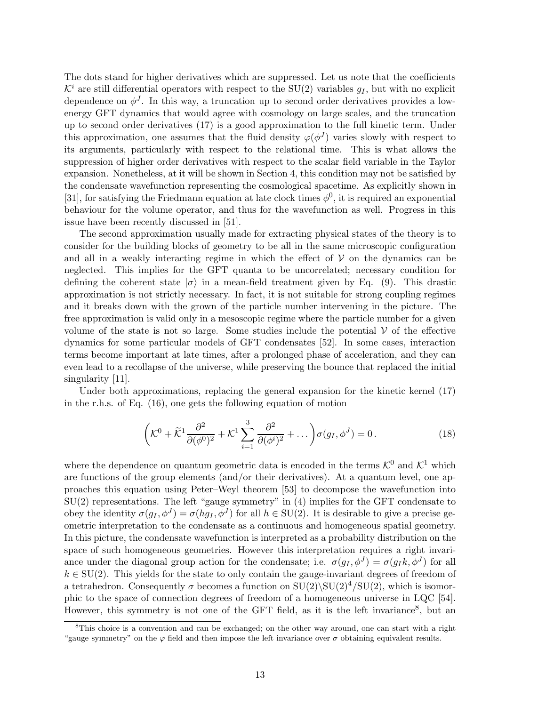The dots stand for higher derivatives which are suppressed. Let us note that the coefficients  $\mathcal{K}^i$  are still differential operators with respect to the SU(2) variables  $q_I$ , but with no explicit dependence on  $\phi^J$ . In this way, a truncation up to second order derivatives provides a lowenergy GFT dynamics that would agree with cosmology on large scales, and the truncation up to second order derivatives [\(17\)](#page-11-1) is a good approximation to the full kinetic term. Under this approximation, one assumes that the fluid density  $\varphi(\phi^J)$  varies slowly with respect to its arguments, particularly with respect to the relational time. This is what allows the suppression of higher order derivatives with respect to the scalar field variable in the Taylor expansion. Nonetheless, at it will be shown in Section [4,](#page-15-0) this condition may not be satisfied by the condensate wavefunction representing the cosmological spacetime. As explicitly shown in [\[31\]](#page-29-5), for satisfying the Friedmann equation at late clock times  $\phi^0$ , it is required an exponential behaviour for the volume operator, and thus for the wavefunction as well. Progress in this issue have been recently discussed in [\[51\]](#page-30-9).

The second approximation usually made for extracting physical states of the theory is to consider for the building blocks of geometry to be all in the same microscopic configuration and all in a weakly interacting regime in which the effect of  $V$  on the dynamics can be neglected. This implies for the GFT quanta to be uncorrelated; necessary condition for defining the coherent state  $|\sigma\rangle$  in a mean-field treatment given by Eq. [\(9\)](#page-9-0). This drastic approximation is not strictly necessary. In fact, it is not suitable for strong coupling regimes and it breaks down with the grown of the particle number intervening in the picture. The free approximation is valid only in a mesoscopic regime where the particle number for a given volume of the state is not so large. Some studies include the potential  $\mathcal V$  of the effective dynamics for some particular models of GFT condensates [\[52\]](#page-30-10). In some cases, interaction terms become important at late times, after a prolonged phase of acceleration, and they can even lead to a recollapse of the universe, while preserving the bounce that replaced the initial singularity [\[11\]](#page-27-5).

Under both approximations, replacing the general expansion for the kinetic kernel [\(17\)](#page-11-1) in the r.h.s. of Eq. [\(16\)](#page-10-1), one gets the following equation of motion

<span id="page-12-1"></span>
$$
\left(\mathcal{K}^0 + \widetilde{\mathcal{K}}^1 \frac{\partial^2}{\partial (\phi^0)^2} + \mathcal{K}^1 \sum_{i=1}^3 \frac{\partial^2}{\partial (\phi^i)^2} + \dots \right) \sigma(g_I, \phi^J) = 0. \tag{18}
$$

where the dependence on quantum geometric data is encoded in the terms  $K^0$  and  $K^1$  which are functions of the group elements (and/or their derivatives). At a quantum level, one approaches this equation using Peter–Weyl theorem [\[53\]](#page-30-11) to decompose the wavefunction into SU(2) representations. The left "gauge symmetry" in [\(4\)](#page-4-1) implies for the GFT condensate to obey the identity  $\sigma(g_I, \phi^J) = \sigma(hg_I, \phi^J)$  for all  $h \in SU(2)$ . It is desirable to give a precise geometric interpretation to the condensate as a continuous and homogeneous spatial geometry. In this picture, the condensate wavefunction is interpreted as a probability distribution on the space of such homogeneous geometries. However this interpretation requires a right invariance under the diagonal group action for the condensate; i.e.  $\sigma(g_I, \phi^J) = \sigma(g_I k, \phi^J)$  for all  $k \in SU(2)$ . This yields for the state to only contain the gauge-invariant degrees of freedom of a tetrahedron. Consequently  $\sigma$  becomes a function on  $SU(2)\SU(2)^4/SU(2)$ , which is isomorphic to the space of connection degrees of freedom of a homogeneous universe in LQC [\[54\]](#page-30-12). However, this symmetry is not one of the GFT field, as it is the left invariance<sup>[8](#page-12-0)</sup>, but an

<span id="page-12-0"></span><sup>&</sup>lt;sup>8</sup>This choice is a convention and can be exchanged; on the other way around, one can start with a right "gauge symmetry" on the  $\varphi$  field and then impose the left invariance over  $\sigma$  obtaining equivalent results.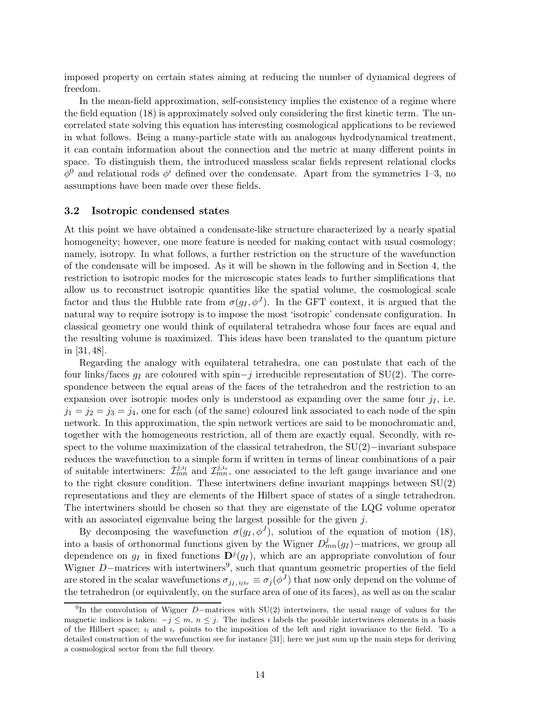imposed property on certain states aiming at reducing the number of dynamical degrees of freedom.

In the mean-field approximation, self-consistency implies the existence of a regime where the field equation [\(18\)](#page-12-1) is approximately solved only considering the first kinetic term. The uncorrelated state solving this equation has interesting cosmological applications to be reviewed in what follows. Being a many-particle state with an analogous hydrodynamical treatment, it can contain information about the connection and the metric at many different points in space. To distinguish them, the introduced massless scalar fields represent relational clocks  $\phi^0$  and relational rods  $\phi^i$  defined over the condensate. Apart from the symmetries 1–3, no assumptions have been made over these fields.

#### 3.2 Isotropic condensed states

At this point we have obtained a condensate-like structure characterized by a nearly spatial homogeneity; however, one more feature is needed for making contact with usual cosmology; namely, isotropy. In what follows, a further restriction on the structure of the wavefunction of the condensate will be imposed. As it will be shown in the following and in Section [4,](#page-15-0) the restriction to isotropic modes for the microscopic states leads to further simplifications that allow us to reconstruct isotropic quantities like the spatial volume, the cosmological scale factor and thus the Hubble rate from  $\sigma(g_I, \phi^J)$ . In the GFT context, it is argued that the natural way to require isotropy is to impose the most 'isotropic' condensate configuration. In classical geometry one would think of equilateral tetrahedra whose four faces are equal and the resulting volume is maximized. This ideas have been translated to the quantum picture in [\[31,](#page-29-5) [48\]](#page-30-7).

Regarding the analogy with equilateral tetrahedra, one can postulate that each of the four links/faces  $g_I$  are coloured with spin–j irreducible representation of SU(2). The correspondence between the equal areas of the faces of the tetrahedron and the restriction to an expansion over isotropic modes only is understood as expanding over the same four  $j_I$ , i.e.  $j_1 = j_2 = j_3 = j_4$ , one for each (of the same) coloured link associated to each node of the spin network. In this approximation, the spin network vertices are said to be monochromatic and, together with the homogeneous restriction, all of them are exactly equal. Secondly, with respect to the volume maximization of the classical tetrahedron, the SU(2)−invariant subspace reduces the wavefunction to a simple form if written in terms of linear combinations of a pair of suitable intertwiners:  $\bar{\mathcal{I}}_{mn}^{j,i_r}$  and  $\mathcal{I}_{mn}^{j,i_r}$ , one associated to the left gauge invariance and one to the right closure condition. These intertwiners define invariant mappings between  $SU(2)$ representations and they are elements of the Hilbert space of states of a single tetrahedron. The intertwiners should be chosen so that they are eigenstate of the LQG volume operator with an associated eigenvalue being the largest possible for the given j.

By decomposing the wavefunction  $\sigma(g_I, \phi^J)$ , solution of the equation of motion [\(18\)](#page-12-1), into a basis of orthonormal functions given by the Wigner  $D_{mn}^j(g_I)$  –matrices, we group all dependence on  $g_I$  in fixed functions  $\mathbf{D}^j(g_I)$ , which are an appropriate convolution of four Wigner D−matrices with intertwiners<sup>[9](#page-13-0)</sup>, such that quantum geometric properties of the field are stored in the scalar wavefunctions  $\sigma_{j_I, i_l i_r} \equiv \sigma_j(\phi^J)$  that now only depend on the volume of the tetrahedron (or equivalently, on the surface area of one of its faces), as well as on the scalar

<span id="page-13-0"></span><sup>&</sup>lt;sup>9</sup>In the convolution of Wigner D−matrices with SU(2) intertwiners, the usual range of values for the magnetic indices is taken:  $-j \leq m, n \leq j$ . The indices *i* labels the possible intertwiners elements in a basis of the Hilbert space;  $\iota_l$  and  $\iota_r$  points to the imposition of the left and right invariance to the field. To a detailed construction of the wavefunction see for instance [\[31\]](#page-29-5); here we just sum up the main steps for deriving a cosmological sector from the full theory.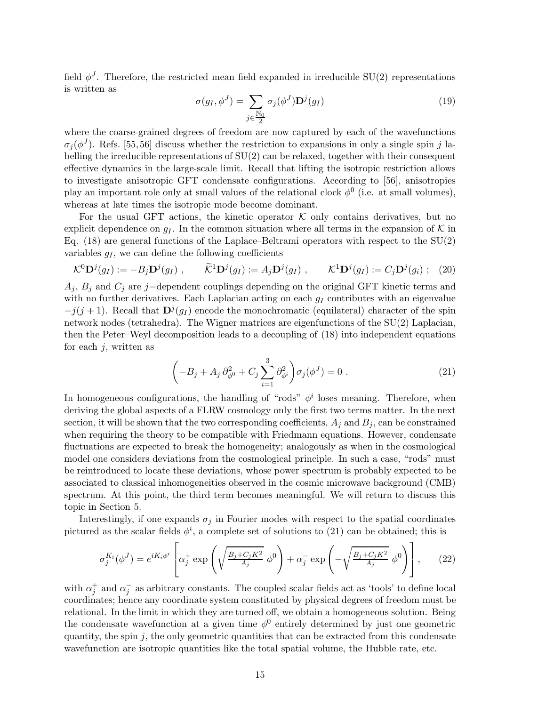field  $\phi^J$ . Therefore, the restricted mean field expanded in irreducible SU(2) representations is written as

<span id="page-14-2"></span>
$$
\sigma(g_I, \phi^J) = \sum_{j \in \frac{\mathbb{N}_0}{2}} \sigma_j(\phi^J) \mathbf{D}^j(g_I)
$$
\n(19)

where the coarse-grained degrees of freedom are now captured by each of the wavefunctions  $\sigma_j(\phi^J)$ . Refs. [\[55,](#page-30-13)56] discuss whether the restriction to expansions in only a single spin j labelling the irreducible representations of SU(2) can be relaxed, together with their consequent effective dynamics in the large-scale limit. Recall that lifting the isotropic restriction allows to investigate anisotropic GFT condensate configurations. According to [\[56\]](#page-31-0), anisotropies play an important role only at small values of the relational clock  $\phi^0$  (i.e. at small volumes), whereas at late times the isotropic mode become dominant.

For the usual GFT actions, the kinetic operator  $K$  only contains derivatives, but no explicit dependence on  $g_I$ . In the common situation where all terms in the expansion of K in Eq.  $(18)$  are general functions of the Laplace–Beltrami operators with respect to the  $SU(2)$ variables  $g_I$ , we can define the following coefficients

$$
\mathcal{K}^0 \mathbf{D}^j(g_I) := -B_j \mathbf{D}^j(g_I) , \qquad \widetilde{\mathcal{K}}^1 \mathbf{D}^j(g_I) := A_j \mathbf{D}^j(g_I) , \qquad \mathcal{K}^1 \mathbf{D}^j(g_I) := C_j \mathbf{D}^j(g_i) ; \tag{20}
$$

 $A_j$ ,  $B_j$  and  $C_j$  are j−dependent couplings depending on the original GFT kinetic terms and with no further derivatives. Each Laplacian acting on each  $g_I$  contributes with an eigenvalue  $-j(j+1)$ . Recall that  $\mathbf{D}^j(g_I)$  encode the monochromatic (equilateral) character of the spin network nodes (tetrahedra). The Wigner matrices are eigenfunctions of the SU(2) Laplacian, then the Peter–Weyl decomposition leads to a decoupling of [\(18\)](#page-12-1) into independent equations for each  $j$ , written as

<span id="page-14-0"></span>
$$
\left(-B_j + A_j \partial_{\phi^0}^2 + C_j \sum_{i=1}^3 \partial_{\phi^i}^2\right) \sigma_j(\phi^J) = 0.
$$
 (21)

In homogeneous configurations, the handling of "rods"  $\phi^i$  loses meaning. Therefore, when deriving the global aspects of a FLRW cosmology only the first two terms matter. In the next section, it will be shown that the two corresponding coefficients,  $A_j$  and  $B_j$ , can be constrained when requiring the theory to be compatible with Friedmann equations. However, condensate fluctuations are expected to break the homogeneity; analogously as when in the cosmological model one considers deviations from the cosmological principle. In such a case, "rods" must be reintroduced to locate these deviations, whose power spectrum is probably expected to be associated to classical inhomogeneities observed in the cosmic microwave background (CMB) spectrum. At this point, the third term becomes meaningful. We will return to discuss this topic in Section [5.](#page-18-0)

Interestingly, if one expands  $\sigma_i$  in Fourier modes with respect to the spatial coordinates pictured as the scalar fields  $\phi^i$ , a complete set of solutions to [\(21\)](#page-14-0) can be obtained; this is

<span id="page-14-1"></span>
$$
\sigma_j^{K_i}(\phi^J) = e^{iK_i\phi^i} \left[ \alpha_j^+ \exp\left(\sqrt{\frac{B_j + C_j K^2}{A_j}} \phi^0\right) + \alpha_j^- \exp\left(-\sqrt{\frac{B_j + C_j K^2}{A_j}} \phi^0\right) \right],\tag{22}
$$

with  $\alpha_j^+$  and  $\alpha_j^-$  as arbitrary constants. The coupled scalar fields act as 'tools' to define local coordinates; hence any coordinate system constituted by physical degrees of freedom must be relational. In the limit in which they are turned off, we obtain a homogeneous solution. Being the condensate wavefunction at a given time  $\phi^0$  entirely determined by just one geometric quantity, the spin  $j$ , the only geometric quantities that can be extracted from this condensate wavefunction are isotropic quantities like the total spatial volume, the Hubble rate, etc.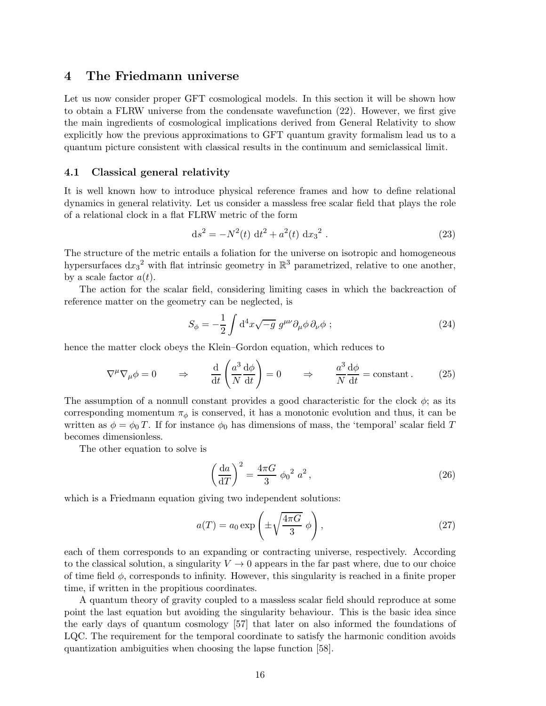## <span id="page-15-0"></span>4 The Friedmann universe

Let us now consider proper GFT cosmological models. In this section it will be shown how to obtain a FLRW universe from the condensate wavefunction [\(22\)](#page-14-1). However, we first give the main ingredients of cosmological implications derived from General Relativity to show explicitly how the previous approximations to GFT quantum gravity formalism lead us to a quantum picture consistent with classical results in the continuum and semiclassical limit.

### <span id="page-15-2"></span>4.1 Classical general relativity

It is well known how to introduce physical reference frames and how to define relational dynamics in general relativity. Let us consider a massless free scalar field that plays the role of a relational clock in a flat FLRW metric of the form

$$
ds^{2} = -N^{2}(t) dt^{2} + a^{2}(t) dx_{3}^{2}.
$$
 (23)

The structure of the metric entails a foliation for the universe on isotropic and homogeneous hypersurfaces  $dx_3^2$  with flat intrinsic geometry in  $\mathbb{R}^3$  parametrized, relative to one another, by a scale factor  $a(t)$ .

The action for the scalar field, considering limiting cases in which the backreaction of reference matter on the geometry can be neglected, is

$$
S_{\phi} = -\frac{1}{2} \int d^4x \sqrt{-g} \ g^{\mu\nu} \partial_{\mu}\phi \, \partial_{\nu}\phi \; ; \tag{24}
$$

hence the matter clock obeys the Klein–Gordon equation, which reduces to

$$
\nabla^{\mu}\nabla_{\mu}\phi = 0 \qquad \Rightarrow \qquad \frac{\mathrm{d}}{\mathrm{d}t} \left( \frac{a^3}{N} \frac{\mathrm{d}\phi}{\mathrm{d}t} \right) = 0 \qquad \Rightarrow \qquad \frac{a^3}{N} \frac{\mathrm{d}\phi}{\mathrm{d}t} = \text{constant} \,. \tag{25}
$$

The assumption of a nonnull constant provides a good characteristic for the clock  $\phi$ ; as its corresponding momentum  $\pi_{\phi}$  is conserved, it has a monotonic evolution and thus, it can be written as  $\phi = \phi_0 T$ . If for instance  $\phi_0$  has dimensions of mass, the 'temporal' scalar field T becomes dimensionless.

The other equation to solve is

$$
\left(\frac{\mathrm{d}a}{\mathrm{d}T}\right)^2 = \frac{4\pi G}{3} \phi_0^2 a^2, \qquad (26)
$$

which is a Friedmann equation giving two independent solutions:

<span id="page-15-1"></span>
$$
a(T) = a_0 \exp\left(\pm \sqrt{\frac{4\pi G}{3}} \phi\right),\tag{27}
$$

each of them corresponds to an expanding or contracting universe, respectively. According to the classical solution, a singularity  $V \to 0$  appears in the far past where, due to our choice of time field  $\phi$ , corresponds to infinity. However, this singularity is reached in a finite proper time, if written in the propitious coordinates.

A quantum theory of gravity coupled to a massless scalar field should reproduce at some point the last equation but avoiding the singularity behaviour. This is the basic idea since the early days of quantum cosmology [\[57\]](#page-31-1) that later on also informed the foundations of LQC. The requirement for the temporal coordinate to satisfy the harmonic condition avoids quantization ambiguities when choosing the lapse function [\[58\]](#page-31-2).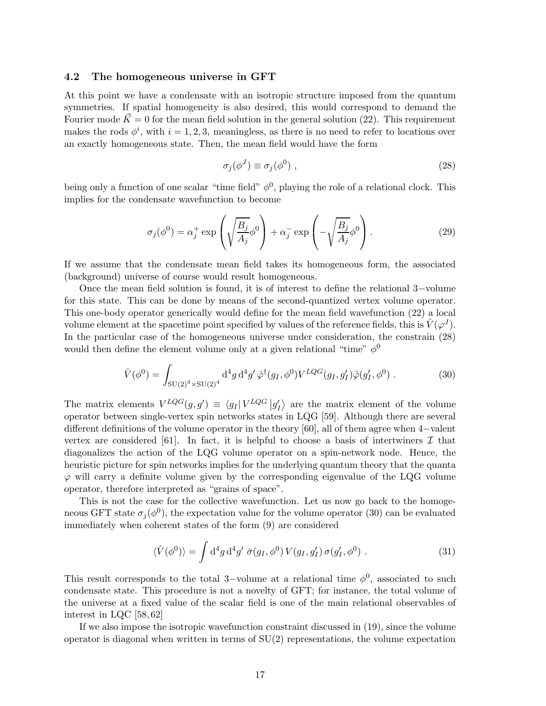#### <span id="page-16-0"></span>4.2 The homogeneous universe in GFT

At this point we have a condensate with an isotropic structure imposed from the quantum symmetries. If spatial homogeneity is also desired, this would correspond to demand the Fourier mode  $\vec{K} = 0$  for the mean field solution in the general solution [\(22\)](#page-14-1). This requirement makes the rods  $\phi^i$ , with  $i = 1, 2, 3$ , meaningless, as there is no need to refer to locations over an exactly homogeneous state. Then, the mean field would have the form

<span id="page-16-1"></span>
$$
\sigma_j(\phi^J) \equiv \sigma_j(\phi^0) \tag{28}
$$

being only a function of one scalar "time field"  $\phi^0$ , playing the role of a relational clock. This implies for the condensate wavefunction to become

<span id="page-16-3"></span>
$$
\sigma_j(\phi^0) = \alpha_j^+ \exp\left(\sqrt{\frac{B_j}{A_j}}\phi^0\right) + \alpha_j^- \exp\left(-\sqrt{\frac{B_j}{A_j}}\phi^0\right). \tag{29}
$$

If we assume that the condensate mean field takes its homogeneous form, the associated (background) universe of course would result homogeneous.

Once the mean field solution is found, it is of interest to define the relational 3−volume for this state. This can be done by means of the second-quantized vertex volume operator. This one-body operator generically would define for the mean field wavefunction [\(22\)](#page-14-1) a local volume element at the spacetime point specified by values of the reference fields, this is  $\hat{V}(\varphi^{J})$ . In the particular case of the homogeneous universe under consideration, the constrain [\(28\)](#page-16-1) would then define the element volume only at a given relational "time"  $\phi^0$ 

<span id="page-16-2"></span>
$$
\hat{V}(\phi^0) = \int_{\text{SU}(2)^4 \times \text{SU}(2)^4} \text{d}^4 g \, \text{d}^4 g' \, \hat{\varphi}^\dagger(g_I, \phi^0) V^{LQG}(g_I, g_I') \hat{\varphi}(g_I', \phi^0) \,. \tag{30}
$$

The matrix elements  $V^{LQG}(g, g') \equiv \langle g_I | V^{LQG} | g'_I \rangle$  are the matrix element of the volume operator between single-vertex spin networks states in LQG [\[59\]](#page-31-3). Although there are several different definitions of the volume operator in the theory [\[60\]](#page-31-4), all of them agree when 4−valent vertex are considered [\[61\]](#page-31-5). In fact, it is helpful to choose a basis of intertwiners  $\mathcal I$  that diagonalizes the action of the LQG volume operator on a spin-network node. Hence, the heuristic picture for spin networks implies for the underlying quantum theory that the quanta  $\varphi$  will carry a definite volume given by the corresponding eigenvalue of the LQG volume operator, therefore interpreted as "grains of space".

This is not the case for the collective wavefunction. Let us now go back to the homogeneous GFT state  $\sigma_j(\phi^0)$ , the expectation value for the volume operator [\(30\)](#page-16-2) can be evaluated immediately when coherent states of the form [\(9\)](#page-9-0) are considered

$$
\langle \hat{V}(\phi^0) \rangle = \int d^4g \, d^4g' \, \bar{\sigma}(g_I, \phi^0) \, V(g_I, g_I') \, \sigma(g_I', \phi^0) \; . \tag{31}
$$

This result corresponds to the total 3-volume at a relational time  $\phi^0$ , associated to such condensate state. This procedure is not a novelty of GFT; for instance, the total volume of the universe at a fixed value of the scalar field is one of the main relational observables of interest in LQC [\[58,](#page-31-2) [62\]](#page-31-6)

If we also impose the isotropic wavefunction constraint discussed in [\(19\)](#page-14-2), since the volume operator is diagonal when written in terms of  $SU(2)$  representations, the volume expectation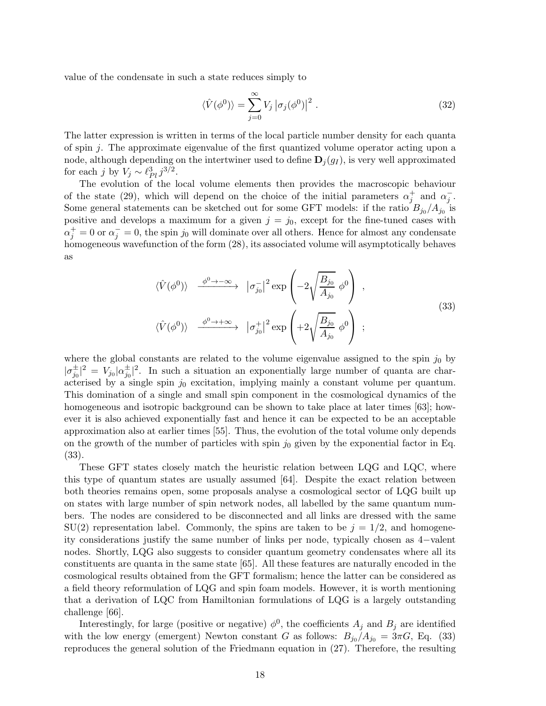value of the condensate in such a state reduces simply to

$$
\langle \hat{V}(\phi^0) \rangle = \sum_{j=0}^{\infty} V_j \left| \sigma_j(\phi^0) \right|^2.
$$
 (32)

The latter expression is written in terms of the local particle number density for each quanta of spin j. The approximate eigenvalue of the first quantized volume operator acting upon a node, although depending on the intertwiner used to define  $\mathbf{D}_j(g_I)$ , is very well approximated for each j by  $V_j \sim \ell_{Pl}^3 j^{3/2}$ .

The evolution of the local volume elements then provides the macroscopic behaviour of the state [\(29\)](#page-16-3), which will depend on the choice of the initial parameters  $\alpha_j^+$  and  $\alpha_j^-$ . Some general statements can be sketched out for some GFT models: if the ratio  $B_{j_0}/A_{j_0}$  is positive and develops a maximum for a given  $j = j_0$ , except for the fine-tuned cases with  $\alpha_j^+ = 0$  or  $\alpha_j^- = 0$ , the spin  $j_0$  will dominate over all others. Hence for almost any condensate homogeneous wavefunction of the form  $(28)$ , its associated volume will asymptotically behaves as

$$
\langle \hat{V}(\phi^0) \rangle \xrightarrow{\phi^0 \to -\infty} |\sigma_{j_0}^-|^2 \exp\left(-2\sqrt{\frac{B_{j_0}}{A_{j_0}}}\phi^0\right) ,
$$
\n
$$
\langle \hat{V}(\phi^0) \rangle \xrightarrow{\phi^0 \to +\infty} |\sigma_{j_0}^+|^2 \exp\left(+2\sqrt{\frac{B_{j_0}}{A_{j_0}}}\phi^0\right) ;
$$
\n(33)

<span id="page-17-0"></span>where the global constants are related to the volume eigenvalue assigned to the spin  $j_0$  by  $|\sigma_{j_0}^{\pm}|^2 = V_{j_0} |\alpha_{j_0}^{\pm}|^2$ . In such a situation an exponentially large number of quanta are characterised by a single spin  $j_0$  excitation, implying mainly a constant volume per quantum. This domination of a single and small spin component in the cosmological dynamics of the homogeneous and isotropic background can be shown to take place at later times [\[63\]](#page-31-7); however it is also achieved exponentially fast and hence it can be expected to be an acceptable approximation also at earlier times [\[55\]](#page-30-13). Thus, the evolution of the total volume only depends on the growth of the number of particles with spin  $j_0$  given by the exponential factor in Eq. [\(33\)](#page-17-0).

These GFT states closely match the heuristic relation between LQG and LQC, where this type of quantum states are usually assumed [\[64\]](#page-31-8). Despite the exact relation between both theories remains open, some proposals analyse a cosmological sector of LQG built up on states with large number of spin network nodes, all labelled by the same quantum numbers. The nodes are considered to be disconnected and all links are dressed with the same  $SU(2)$  representation label. Commonly, the spins are taken to be  $j = 1/2$ , and homogeneity considerations justify the same number of links per node, typically chosen as 4−valent nodes. Shortly, LQG also suggests to consider quantum geometry condensates where all its constituents are quanta in the same state [\[65\]](#page-31-9). All these features are naturally encoded in the cosmological results obtained from the GFT formalism; hence the latter can be considered as a field theory reformulation of LQG and spin foam models. However, it is worth mentioning that a derivation of LQC from Hamiltonian formulations of LQG is a largely outstanding challenge [\[66\]](#page-31-10).

Interestingly, for large (positive or negative)  $\phi^0$ , the coefficients  $A_j$  and  $B_j$  are identified with the low energy (emergent) Newton constant G as follows:  $B_{j_0}/A_{j_0} = 3\pi G$ , Eq. [\(33\)](#page-17-0) reproduces the general solution of the Friedmann equation in [\(27\)](#page-15-1). Therefore, the resulting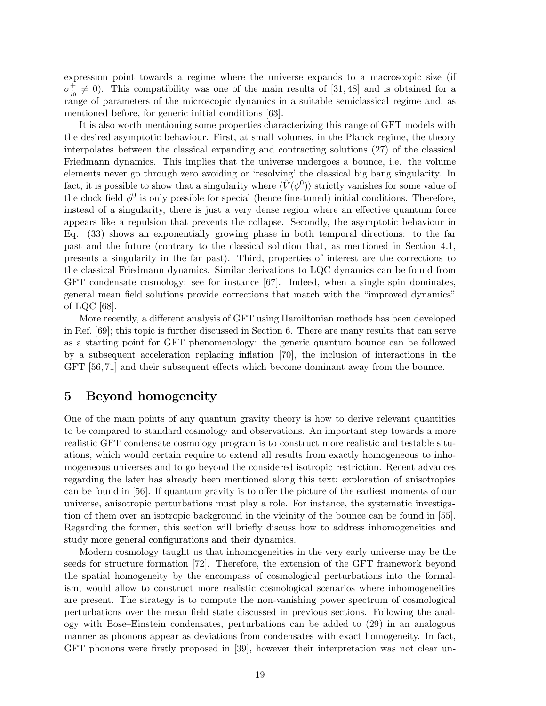expression point towards a regime where the universe expands to a macroscopic size (if  $\sigma_{j_0}^{\pm} \neq 0$ ). This compatibility was one of the main results of [\[31,](#page-29-5) [48\]](#page-30-7) and is obtained for a range of parameters of the microscopic dynamics in a suitable semiclassical regime and, as mentioned before, for generic initial conditions [\[63\]](#page-31-7).

It is also worth mentioning some properties characterizing this range of GFT models with the desired asymptotic behaviour. First, at small volumes, in the Planck regime, the theory interpolates between the classical expanding and contracting solutions [\(27\)](#page-15-1) of the classical Friedmann dynamics. This implies that the universe undergoes a bounce, i.e. the volume elements never go through zero avoiding or 'resolving' the classical big bang singularity. In fact, it is possible to show that a singularity where  $\langle \hat{V}(\phi^0) \rangle$  strictly vanishes for some value of the clock field  $\phi^0$  is only possible for special (hence fine-tuned) initial conditions. Therefore, instead of a singularity, there is just a very dense region where an effective quantum force appears like a repulsion that prevents the collapse. Secondly, the asymptotic behaviour in Eq. [\(33\)](#page-17-0) shows an exponentially growing phase in both temporal directions: to the far past and the future (contrary to the classical solution that, as mentioned in Section [4.1,](#page-15-2) presents a singularity in the far past). Third, properties of interest are the corrections to the classical Friedmann dynamics. Similar derivations to LQC dynamics can be found from GFT condensate cosmology; see for instance [\[67\]](#page-31-11). Indeed, when a single spin dominates, general mean field solutions provide corrections that match with the "improved dynamics" of LQC [\[68\]](#page-32-0).

More recently, a different analysis of GFT using Hamiltonian methods has been developed in Ref. [\[69\]](#page-32-1); this topic is further discussed in Section [6.](#page-24-0) There are many results that can serve as a starting point for GFT phenomenology: the generic quantum bounce can be followed by a subsequent acceleration replacing inflation [\[70\]](#page-32-2), the inclusion of interactions in the GFT [\[56,](#page-31-0) [71\]](#page-32-3) and their subsequent effects which become dominant away from the bounce.

## <span id="page-18-0"></span>5 Beyond homogeneity

One of the main points of any quantum gravity theory is how to derive relevant quantities to be compared to standard cosmology and observations. An important step towards a more realistic GFT condensate cosmology program is to construct more realistic and testable situations, which would certain require to extend all results from exactly homogeneous to inhomogeneous universes and to go beyond the considered isotropic restriction. Recent advances regarding the later has already been mentioned along this text; exploration of anisotropies can be found in [\[56\]](#page-31-0). If quantum gravity is to offer the picture of the earliest moments of our universe, anisotropic perturbations must play a role. For instance, the systematic investigation of them over an isotropic background in the vicinity of the bounce can be found in [\[55\]](#page-30-13). Regarding the former, this section will briefly discuss how to address inhomogeneities and study more general configurations and their dynamics.

Modern cosmology taught us that inhomogeneities in the very early universe may be the seeds for structure formation [\[72\]](#page-32-4). Therefore, the extension of the GFT framework beyond the spatial homogeneity by the encompass of cosmological perturbations into the formalism, would allow to construct more realistic cosmological scenarios where inhomogeneities are present. The strategy is to compute the non-vanishing power spectrum of cosmological perturbations over the mean field state discussed in previous sections. Following the analogy with Bose–Einstein condensates, perturbations can be added to [\(29\)](#page-16-3) in an analogous manner as phonons appear as deviations from condensates with exact homogeneity. In fact, GFT phonons were firstly proposed in [\[39\]](#page-29-14), however their interpretation was not clear un-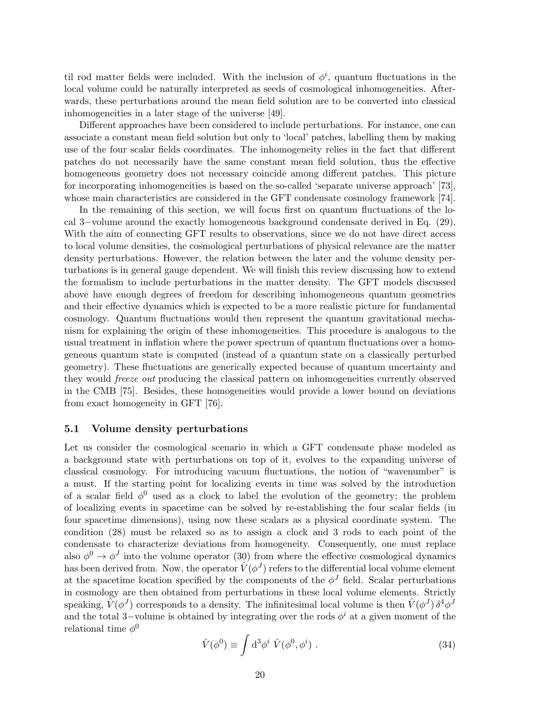til rod matter fields were included. With the inclusion of  $\phi^i$ , quantum fluctuations in the local volume could be naturally interpreted as seeds of cosmological inhomogeneities. Afterwards, these perturbations around the mean field solution are to be converted into classical inhomogeneities in a later stage of the universe [\[49\]](#page-30-14).

Different approaches have been considered to include perturbations. For instance, one can associate a constant mean field solution but only to 'local' patches, labelling them by making use of the four scalar fields coordinates. The inhomogeneity relies in the fact that different patches do not necessarily have the same constant mean field solution, thus the effective homogeneous geometry does not necessary coincide among different patches. This picture for incorporating inhomogeneities is based on the so-called 'separate universe approach' [\[73\]](#page-32-5), whose main characteristics are considered in the GFT condensate cosmology framework [\[74\]](#page-32-6).

In the remaining of this section, we will focus first on quantum fluctuations of the local 3−volume around the exactly homogeneous background condensate derived in Eq. [\(29\)](#page-16-3). With the aim of connecting GFT results to observations, since we do not have direct access to local volume densities, the cosmological perturbations of physical relevance are the matter density perturbations. However, the relation between the later and the volume density perturbations is in general gauge dependent. We will finish this review discussing how to extend the formalism to include perturbations in the matter density. The GFT models discussed above have enough degrees of freedom for describing inhomogeneous quantum geometries and their effective dynamics which is expected to be a more realistic picture for fundamental cosmology. Quantum fluctuations would then represent the quantum gravitational mechanism for explaining the origin of these inhomogeneities. This procedure is analogous to the usual treatment in inflation where the power spectrum of quantum fluctuations over a homogeneous quantum state is computed (instead of a quantum state on a classically perturbed geometry). These fluctuations are generically expected because of quantum uncertainty and they would freeze out producing the classical pattern on inhomogeneities currently observed in the CMB [\[75\]](#page-32-7). Besides, these homogeneities would provide a lower bound on deviations from exact homogeneity in GFT [\[76\]](#page-32-8).

#### 5.1 Volume density perturbations

Let us consider the cosmological scenario in which a GFT condensate phase modeled as a background state with perturbations on top of it, evolves to the expanding universe of classical cosmology. For introducing vacuum fluctuations, the notion of "wavenumber" is a must. If the starting point for localizing events in time was solved by the introduction of a scalar field  $\phi^0$  used as a clock to label the evolution of the geometry; the problem of localizing events in spacetime can be solved by re-establishing the four scalar fields (in four spacetime dimensions), using now these scalars as a physical coordinate system. The condition [\(28\)](#page-16-1) must be relaxed so as to assign a clock and 3 rods to each point of the condensate to characterize deviations from homogeneity. Consequently, one must replace also  $\phi^0 \to \phi^J$  into the volume operator [\(30\)](#page-16-2) from where the effective cosmological dynamics has been derived from. Now, the operator  $\hat{V}(\phi^J)$  refers to the differential local volume element at the spacetime location specified by the components of the  $\phi^J$  field. Scalar perturbations in cosmology are then obtained from perturbations in these local volume elements. Strictly speaking,  $\hat{V}(\phi^J)$  corresponds to a density. The infinitesimal local volume is then  $\hat{V}(\phi^J)\,\delta^4\phi^J$ and the total 3-volume is obtained by integrating over the rods  $\phi^i$  at a given moment of the relational time  $\phi^0$ 

<span id="page-19-0"></span>
$$
\hat{V}(\phi^0) \equiv \int d^3 \phi^i \ \hat{V}(\phi^0, \phi^i) \ . \tag{34}
$$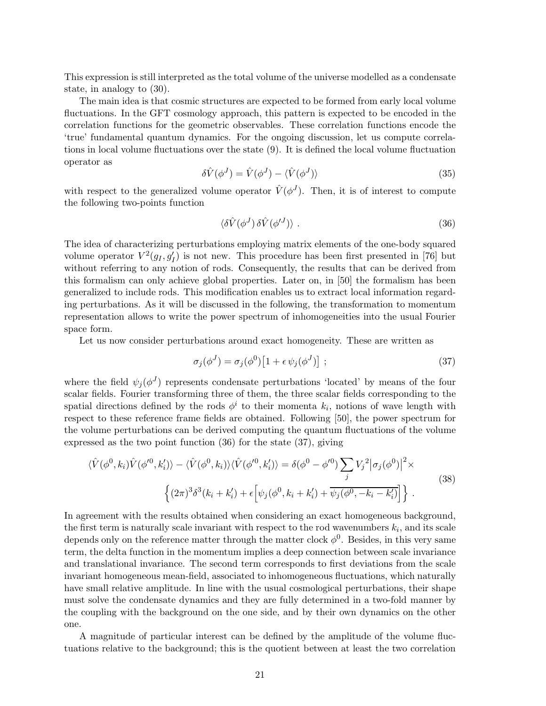This expression is still interpreted as the total volume of the universe modelled as a condensate state, in analogy to [\(30\)](#page-16-2).

The main idea is that cosmic structures are expected to be formed from early local volume fluctuations. In the GFT cosmology approach, this pattern is expected to be encoded in the correlation functions for the geometric observables. These correlation functions encode the 'true' fundamental quantum dynamics. For the ongoing discussion, let us compute correlations in local volume fluctuations over the state [\(9\)](#page-9-0). It is defined the local volume fluctuation operator as

$$
\delta\hat{V}(\phi^J) = \hat{V}(\phi^J) - \langle \hat{V}(\phi^J) \rangle \tag{35}
$$

with respect to the generalized volume operator  $\hat{V}(\phi^J)$ . Then, it is of interest to compute the following two-points function

<span id="page-20-0"></span>
$$
\langle \delta \hat{V}(\phi^J) \, \delta \hat{V}(\phi'^J) \rangle \; . \tag{36}
$$

The idea of characterizing perturbations employing matrix elements of the one-body squared volume operator  $V^2(g_I, g_I')$  is not new. This procedure has been first presented in [\[76\]](#page-32-8) but without referring to any notion of rods. Consequently, the results that can be derived from this formalism can only achieve global properties. Later on, in [\[50\]](#page-30-8) the formalism has been generalized to include rods. This modification enables us to extract local information regarding perturbations. As it will be discussed in the following, the transformation to momentum representation allows to write the power spectrum of inhomogeneities into the usual Fourier space form.

Let us now consider perturbations around exact homogeneity. These are written as

<span id="page-20-1"></span>
$$
\sigma_j(\phi^J) = \sigma_j(\phi^0) \left[ 1 + \epsilon \,\psi_j(\phi^J) \right] ; \tag{37}
$$

where the field  $\psi_j(\phi^J)$  represents condensate perturbations 'located' by means of the four scalar fields. Fourier transforming three of them, the three scalar fields corresponding to the spatial directions defined by the rods  $\phi^i$  to their momenta  $k_i$ , notions of wave length with respect to these reference frame fields are obtained. Following [\[50\]](#page-30-8), the power spectrum for the volume perturbations can be derived computing the quantum fluctuations of the volume expressed as the two point function [\(36\)](#page-20-0) for the state [\(37\)](#page-20-1), giving

<span id="page-20-2"></span>
$$
\langle \hat{V}(\phi^0, k_i) \hat{V}(\phi^{\prime 0}, k_i^{\prime}) \rangle - \langle \hat{V}(\phi^0, k_i) \rangle \langle \hat{V}(\phi^{\prime 0}, k_i^{\prime}) \rangle = \delta(\phi^0 - \phi^{\prime 0}) \sum_j V_j^2 |\sigma_j(\phi^0)|^2 \times
$$
\n
$$
\left\{ (2\pi)^3 \delta^3(k_i + k_i^{\prime}) + \epsilon \left[ \psi_j(\phi^0, k_i + k_i^{\prime}) + \overline{\psi_j(\phi^0, -k_i - k_i^{\prime})} \right] \right\}.
$$
\n(38)

In agreement with the results obtained when considering an exact homogeneous background, the first term is naturally scale invariant with respect to the rod wavenumbers  $k_i$ , and its scale depends only on the reference matter through the matter clock  $\phi^0$ . Besides, in this very same term, the delta function in the momentum implies a deep connection between scale invariance and translational invariance. The second term corresponds to first deviations from the scale invariant homogeneous mean-field, associated to inhomogeneous fluctuations, which naturally have small relative amplitude. In line with the usual cosmological perturbations, their shape must solve the condensate dynamics and they are fully determined in a two-fold manner by the coupling with the background on the one side, and by their own dynamics on the other one.

A magnitude of particular interest can be defined by the amplitude of the volume fluctuations relative to the background; this is the quotient between at least the two correlation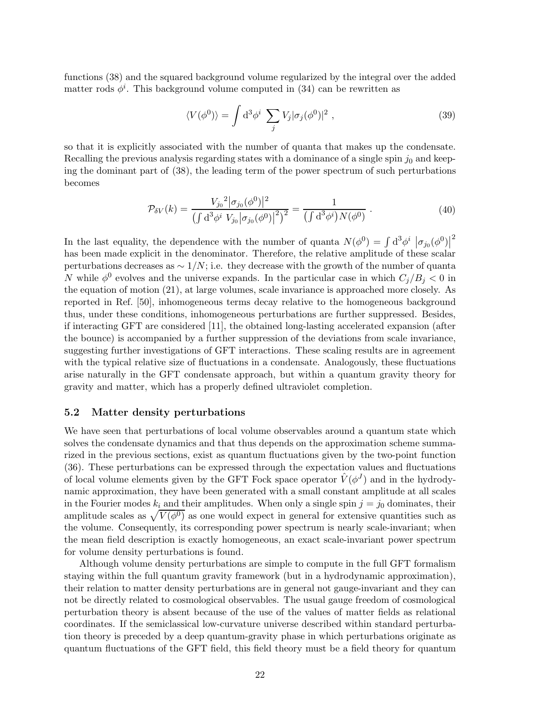functions [\(38\)](#page-20-2) and the squared background volume regularized by the integral over the added matter rods  $\phi^i$ . This background volume computed in [\(34\)](#page-19-0) can be rewritten as

$$
\langle V(\phi^0) \rangle = \int d^3 \phi^i \sum_j V_j |\sigma_j(\phi^0)|^2 , \qquad (39)
$$

so that it is explicitly associated with the number of quanta that makes up the condensate. Recalling the previous analysis regarding states with a dominance of a single spin  $j_0$  and keeping the dominant part of [\(38\)](#page-20-2), the leading term of the power spectrum of such perturbations becomes

$$
\mathcal{P}_{\delta V}(k) = \frac{V_{j_0}^2 |\sigma_{j_0}(\phi^0)|^2}{\left(\int d^3 \phi^i V_{j_0} |\sigma_{j_0}(\phi^0)|^2\right)^2} = \frac{1}{\left(\int d^3 \phi^i\right) N(\phi^0)}.
$$
\n(40)

In the last equality, the dependence with the number of quanta  $N(\phi^0) = \int d^3\phi^i |\sigma_{j_0}(\phi^0)|^2$ has been made explicit in the denominator. Therefore, the relative amplitude of these scalar perturbations decreases as  $\sim 1/N$ ; i.e. they decrease with the growth of the number of quanta N while  $\phi^0$  evolves and the universe expands. In the particular case in which  $C_j/B_j < 0$  in the equation of motion [\(21\)](#page-14-0), at large volumes, scale invariance is approached more closely. As reported in Ref. [\[50\]](#page-30-8), inhomogeneous terms decay relative to the homogeneous background thus, under these conditions, inhomogeneous perturbations are further suppressed. Besides, if interacting GFT are considered [\[11\]](#page-27-5), the obtained long-lasting accelerated expansion (after the bounce) is accompanied by a further suppression of the deviations from scale invariance, suggesting further investigations of GFT interactions. These scaling results are in agreement with the typical relative size of fluctuations in a condensate. Analogously, these fluctuations arise naturally in the GFT condensate approach, but within a quantum gravity theory for gravity and matter, which has a properly defined ultraviolet completion.

### 5.2 Matter density perturbations

We have seen that perturbations of local volume observables around a quantum state which solves the condensate dynamics and that thus depends on the approximation scheme summarized in the previous sections, exist as quantum fluctuations given by the two-point function [\(36\)](#page-20-0). These perturbations can be expressed through the expectation values and fluctuations of local volume elements given by the GFT Fock space operator  $\hat{V}(\phi^J)$  and in the hydrodynamic approximation, they have been generated with a small constant amplitude at all scales in the Fourier modes  $k_i$  and their amplitudes. When only a single spin  $j = j_0$  dominates, their amplitude scales as  $\sqrt{V(\phi^0)}$  as one would expect in general for extensive quantities such as the volume. Consequently, its corresponding power spectrum is nearly scale-invariant; when the mean field description is exactly homogeneous, an exact scale-invariant power spectrum for volume density perturbations is found.

Although volume density perturbations are simple to compute in the full GFT formalism staying within the full quantum gravity framework (but in a hydrodynamic approximation), their relation to matter density perturbations are in general not gauge-invariant and they can not be directly related to cosmological observables. The usual gauge freedom of cosmological perturbation theory is absent because of the use of the values of matter fields as relational coordinates. If the semiclassical low-curvature universe described within standard perturbation theory is preceded by a deep quantum-gravity phase in which perturbations originate as quantum fluctuations of the GFT field, this field theory must be a field theory for quantum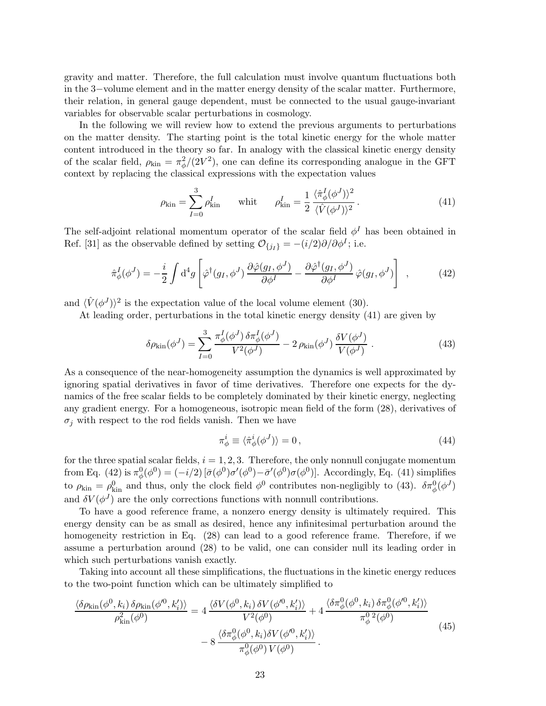gravity and matter. Therefore, the full calculation must involve quantum fluctuations both in the 3−volume element and in the matter energy density of the scalar matter. Furthermore, their relation, in general gauge dependent, must be connected to the usual gauge-invariant variables for observable scalar perturbations in cosmology.

In the following we will review how to extend the previous arguments to perturbations on the matter density. The starting point is the total kinetic energy for the whole matter content introduced in the theory so far. In analogy with the classical kinetic energy density of the scalar field,  $\rho_{\text{kin}} = \pi_{\phi}^{2}/(2V^{2})$ , one can define its corresponding analogue in the GFT context by replacing the classical expressions with the expectation values

<span id="page-22-0"></span>
$$
\rho_{\rm kin} = \sum_{I=0}^{3} \rho_{\rm kin}^{I} \qquad \text{whit} \qquad \rho_{\rm kin}^{I} = \frac{1}{2} \frac{\langle \hat{\pi}_{\phi}^{I} (\phi^{J}) \rangle^{2}}{\langle \hat{V} (\phi^{J}) \rangle^{2}}.
$$
\n(41)

The self-adjoint relational momentum operator of the scalar field  $\phi^I$  has been obtained in Ref. [\[31\]](#page-29-5) as the observable defined by setting  $\mathcal{O}_{\{j_I\}} = -(i/2)\partial/\partial \phi^I$ ; i.e.

<span id="page-22-1"></span>
$$
\hat{\pi}_{\phi}^{I}(\phi^{J}) = -\frac{i}{2} \int d^{4}g \left[ \hat{\varphi}^{\dagger}(g_{I}, \phi^{J}) \frac{\partial \hat{\varphi}(g_{I}, \phi^{J})}{\partial \phi^{I}} - \frac{\partial \hat{\varphi}^{\dagger}(g_{I}, \phi^{J})}{\partial \phi^{I}} \hat{\varphi}(g_{I}, \phi^{J}) \right] , \qquad (42)
$$

and  $\langle \hat{V}(\phi^J) \rangle^2$  is the expectation value of the local volume element [\(30\)](#page-16-2).

At leading order, perturbations in the total kinetic energy density [\(41\)](#page-22-0) are given by

<span id="page-22-2"></span>
$$
\delta \rho_{\rm kin}(\phi^J) = \sum_{I=0}^3 \frac{\pi_{\phi}^I(\phi^J) \, \delta \pi_{\phi}^I(\phi^J)}{V^2(\phi^J)} - 2 \, \rho_{\rm kin}(\phi^J) \, \frac{\delta V(\phi^J)}{V(\phi^J)} \,. \tag{43}
$$

As a consequence of the near-homogeneity assumption the dynamics is well approximated by ignoring spatial derivatives in favor of time derivatives. Therefore one expects for the dynamics of the free scalar fields to be completely dominated by their kinetic energy, neglecting any gradient energy. For a homogeneous, isotropic mean field of the form [\(28\)](#page-16-1), derivatives of  $\sigma_i$  with respect to the rod fields vanish. Then we have

$$
\pi_{\phi}^{i} \equiv \langle \hat{\pi}_{\phi}^{i}(\phi^{J}) \rangle = 0, \qquad (44)
$$

for the three spatial scalar fields,  $i = 1, 2, 3$ . Therefore, the only nonnull conjugate momentum from Eq. [\(42\)](#page-22-1) is  $\pi_{\phi}^{0}(\phi^{0}) = (-i/2) [\bar{\sigma}(\phi^{0})\sigma'(\phi^{0}) - \bar{\sigma}'(\phi^{0})\sigma(\phi^{0})]$ . Accordingly, Eq. [\(41\)](#page-22-0) simplifies to  $\rho_{\rm kin} = \rho_{\rm kin}^0$  and thus, only the clock field  $\phi^0$  contributes non-negligibly to [\(43\)](#page-22-2).  $\delta \pi_{\phi}^0(\phi^J)$ and  $\delta V(\phi^J)$  are the only corrections functions with nonnull contributions.

To have a good reference frame, a nonzero energy density is ultimately required. This energy density can be as small as desired, hence any infinitesimal perturbation around the homogeneity restriction in Eq. [\(28\)](#page-16-1) can lead to a good reference frame. Therefore, if we assume a perturbation around [\(28\)](#page-16-1) to be valid, one can consider null its leading order in which such perturbations vanish exactly.

Taking into account all these simplifications, the fluctuations in the kinetic energy reduces to the two-point function which can be ultimately simplified to

<span id="page-22-3"></span>
$$
\frac{\langle \delta \rho_{\rm kin}(\phi^0, k_i) \, \delta \rho_{\rm kin}(\phi^{\prime 0}, k_i^{\prime}) \rangle}{\rho_{\rm kin}^2(\phi^0)} = 4 \frac{\langle \delta V(\phi^0, k_i) \, \delta V(\phi^{\prime 0}, k_i^{\prime}) \rangle}{V^2(\phi^0)} + 4 \frac{\langle \delta \pi_{\phi}^0(\phi^0, k_i) \, \delta \pi_{\phi}^0(\phi^{\prime 0}, k_i^{\prime}) \rangle}{\pi_{\phi}^0(\phi^0)} - 8 \frac{\langle \delta \pi_{\phi}^0(\phi^0, k_i) \delta V(\phi^{\prime 0}, k_i^{\prime}) \rangle}{\pi_{\phi}^0(\phi^0) V(\phi^0)}.
$$
\n(45)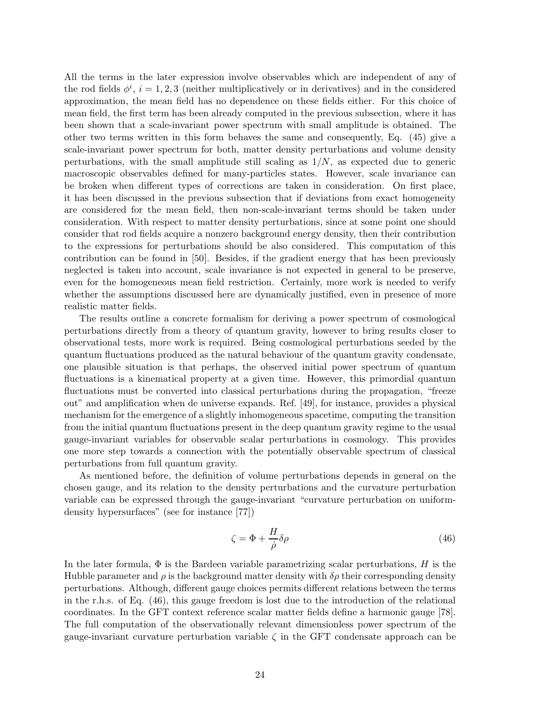All the terms in the later expression involve observables which are independent of any of the rod fields  $\phi^i$ ,  $i = 1, 2, 3$  (neither multiplicatively or in derivatives) and in the considered approximation, the mean field has no dependence on these fields either. For this choice of mean field, the first term has been already computed in the previous subsection, where it has been shown that a scale-invariant power spectrum with small amplitude is obtained. The other two terms written in this form behaves the same and consequently, Eq. [\(45\)](#page-22-3) give a scale-invariant power spectrum for both, matter density perturbations and volume density perturbations, with the small amplitude still scaling as  $1/N$ , as expected due to generic macroscopic observables defined for many-particles states. However, scale invariance can be broken when different types of corrections are taken in consideration. On first place, it has been discussed in the previous subsection that if deviations from exact homogeneity are considered for the mean field, then non-scale-invariant terms should be taken under consideration. With respect to matter density perturbations, since at some point one should consider that rod fields acquire a nonzero background energy density, then their contribution to the expressions for perturbations should be also considered. This computation of this contribution can be found in [\[50\]](#page-30-8). Besides, if the gradient energy that has been previously neglected is taken into account, scale invariance is not expected in general to be preserve, even for the homogeneous mean field restriction. Certainly, more work is needed to verify whether the assumptions discussed here are dynamically justified, even in presence of more realistic matter fields.

The results outline a concrete formalism for deriving a power spectrum of cosmological perturbations directly from a theory of quantum gravity, however to bring results closer to observational tests, more work is required. Being cosmological perturbations seeded by the quantum fluctuations produced as the natural behaviour of the quantum gravity condensate, one plausible situation is that perhaps, the observed initial power spectrum of quantum fluctuations is a kinematical property at a given time. However, this primordial quantum fluctuations must be converted into classical perturbations during the propagation, "freeze out" and amplification when de universe expands. Ref. [\[49\]](#page-30-14), for instance, provides a physical mechanism for the emergence of a slightly inhomogeneous spacetime, computing the transition from the initial quantum fluctuations present in the deep quantum gravity regime to the usual gauge-invariant variables for observable scalar perturbations in cosmology. This provides one more step towards a connection with the potentially observable spectrum of classical perturbations from full quantum gravity.

As mentioned before, the definition of volume perturbations depends in general on the chosen gauge, and its relation to the density perturbations and the curvature perturbation variable can be expressed through the gauge-invariant "curvature perturbation on uniformdensity hypersurfaces" (see for instance [\[77\]](#page-32-9))

<span id="page-23-0"></span>
$$
\zeta = \Phi + \frac{H}{\dot{\rho}} \delta \rho \tag{46}
$$

In the later formula,  $\Phi$  is the Bardeen variable parametrizing scalar perturbations, H is the Hubble parameter and  $\rho$  is the background matter density with  $\delta\rho$  their corresponding density perturbations. Although, different gauge choices permits different relations between the terms in the r.h.s. of Eq. [\(46\)](#page-23-0), this gauge freedom is lost due to the introduction of the relational coordinates. In the GFT context reference scalar matter fields define a harmonic gauge [\[78\]](#page-32-10). The full computation of the observationally relevant dimensionless power spectrum of the gauge-invariant curvature perturbation variable  $\zeta$  in the GFT condensate approach can be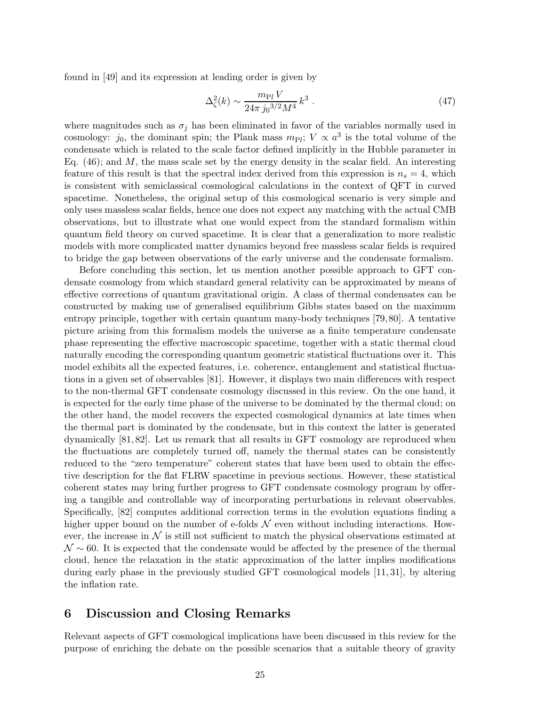found in [\[49\]](#page-30-14) and its expression at leading order is given by

$$
\Delta_{\zeta}^{2}(k) \sim \frac{m_{\rm Pl} V}{24\pi j_0^{3/2} M^4} k^3 \ . \tag{47}
$$

where magnitudes such as  $\sigma_j$  has been eliminated in favor of the variables normally used in cosmology:  $j_0$ , the dominant spin; the Plank mass  $m_{\text{Pl}}$ ;  $V \propto a^3$  is the total volume of the condensate which is related to the scale factor defined implicitly in the Hubble parameter in Eq.  $(46)$ ; and M, the mass scale set by the energy density in the scalar field. An interesting feature of this result is that the spectral index derived from this expression is  $n_s = 4$ , which is consistent with semiclassical cosmological calculations in the context of QFT in curved spacetime. Nonetheless, the original setup of this cosmological scenario is very simple and only uses massless scalar fields, hence one does not expect any matching with the actual CMB observations, but to illustrate what one would expect from the standard formalism within quantum field theory on curved spacetime. It is clear that a generalization to more realistic models with more complicated matter dynamics beyond free massless scalar fields is required to bridge the gap between observations of the early universe and the condensate formalism.

Before concluding this section, let us mention another possible approach to GFT condensate cosmology from which standard general relativity can be approximated by means of effective corrections of quantum gravitational origin. A class of thermal condensates can be constructed by making use of generalised equilibrium Gibbs states based on the maximum entropy principle, together with certain quantum many-body techniques [\[79,](#page-32-11)[80\]](#page-32-12). A tentative picture arising from this formalism models the universe as a finite temperature condensate phase representing the effective macroscopic spacetime, together with a static thermal cloud naturally encoding the corresponding quantum geometric statistical fluctuations over it. This model exhibits all the expected features, i.e. coherence, entanglement and statistical fluctuations in a given set of observables [\[81\]](#page-32-13). However, it displays two main differences with respect to the non-thermal GFT condensate cosmology discussed in this review. On the one hand, it is expected for the early time phase of the universe to be dominated by the thermal cloud; on the other hand, the model recovers the expected cosmological dynamics at late times when the thermal part is dominated by the condensate, but in this context the latter is generated dynamically [\[81,](#page-32-13) [82\]](#page-32-14). Let us remark that all results in GFT cosmology are reproduced when the fluctuations are completely turned off, namely the thermal states can be consistently reduced to the "zero temperature" coherent states that have been used to obtain the effective description for the flat FLRW spacetime in previous sections. However, these statistical coherent states may bring further progress to GFT condensate cosmology program by offering a tangible and controllable way of incorporating perturbations in relevant observables. Specifically, [\[82\]](#page-32-14) computes additional correction terms in the evolution equations finding a higher upper bound on the number of e-folds  $\mathcal N$  even without including interactions. However, the increase in  $\mathcal N$  is still not sufficient to match the physical observations estimated at  $\mathcal{N} \sim 60$ . It is expected that the condensate would be affected by the presence of the thermal cloud, hence the relaxation in the static approximation of the latter implies modifications during early phase in the previously studied GFT cosmological models [\[11,](#page-27-5) [31\]](#page-29-5), by altering the inflation rate.

## <span id="page-24-0"></span>6 Discussion and Closing Remarks

Relevant aspects of GFT cosmological implications have been discussed in this review for the purpose of enriching the debate on the possible scenarios that a suitable theory of gravity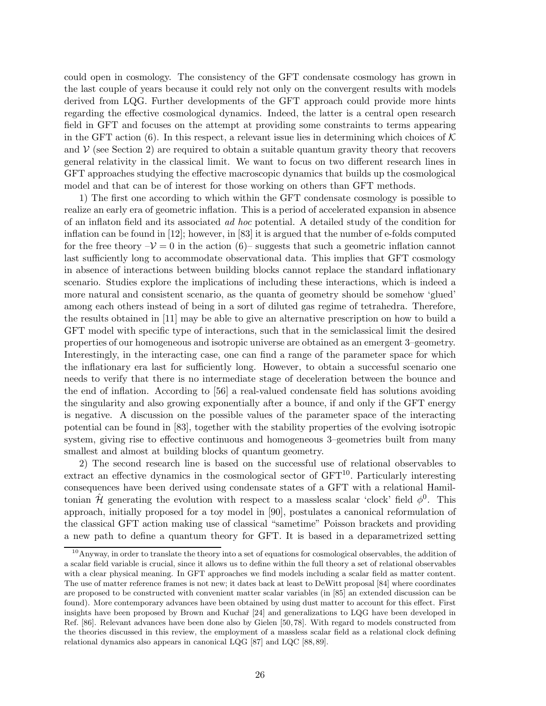could open in cosmology. The consistency of the GFT condensate cosmology has grown in the last couple of years because it could rely not only on the convergent results with models derived from LQG. Further developments of the GFT approach could provide more hints regarding the effective cosmological dynamics. Indeed, the latter is a central open research field in GFT and focuses on the attempt at providing some constraints to terms appearing in the GFT action [\(6\)](#page-6-0). In this respect, a relevant issue lies in determining which choices of  $K$ and  $\mathcal V$  (see Section [2\)](#page-2-0) are required to obtain a suitable quantum gravity theory that recovers general relativity in the classical limit. We want to focus on two different research lines in GFT approaches studying the effective macroscopic dynamics that builds up the cosmological model and that can be of interest for those working on others than GFT methods.

1) The first one according to which within the GFT condensate cosmology is possible to realize an early era of geometric inflation. This is a period of accelerated expansion in absence of an inflaton field and its associated ad hoc potential. A detailed study of the condition for inflation can be found in [\[12\]](#page-27-6); however, in [\[83\]](#page-32-15) it is argued that the number of e-folds computed for the free theory  $-\mathcal{V} = 0$  in the action [\(6\)](#page-6-0)– suggests that such a geometric inflation cannot last sufficiently long to accommodate observational data. This implies that GFT cosmology in absence of interactions between building blocks cannot replace the standard inflationary scenario. Studies explore the implications of including these interactions, which is indeed a more natural and consistent scenario, as the quanta of geometry should be somehow 'glued' among each others instead of being in a sort of diluted gas regime of tetrahedra. Therefore, the results obtained in [\[11\]](#page-27-5) may be able to give an alternative prescription on how to build a GFT model with specific type of interactions, such that in the semiclassical limit the desired properties of our homogeneous and isotropic universe are obtained as an emergent 3–geometry. Interestingly, in the interacting case, one can find a range of the parameter space for which the inflationary era last for sufficiently long. However, to obtain a successful scenario one needs to verify that there is no intermediate stage of deceleration between the bounce and the end of inflation. According to [\[56\]](#page-31-0) a real-valued condensate field has solutions avoiding the singularity and also growing exponentially after a bounce, if and only if the GFT energy is negative. A discussion on the possible values of the parameter space of the interacting potential can be found in [\[83\]](#page-32-15), together with the stability properties of the evolving isotropic system, giving rise to effective continuous and homogeneous 3–geometries built from many smallest and almost at building blocks of quantum geometry.

2) The second research line is based on the successful use of relational observables to extract an effective dynamics in the cosmological sector of GFT [10](#page-25-0). Particularly interesting consequences have been derived using condensate states of a GFT with a relational Hamiltonian  $\hat{\mathcal{H}}$  generating the evolution with respect to a massless scalar 'clock' field  $\phi^0$ . This approach, initially proposed for a toy model in [\[90\]](#page-33-0), postulates a canonical reformulation of the classical GFT action making use of classical "sametime" Poisson brackets and providing a new path to define a quantum theory for GFT. It is based in a deparametrized setting

<span id="page-25-0"></span> $10$ Anyway, in order to translate the theory into a set of equations for cosmological observables, the addition of a scalar field variable is crucial, since it allows us to define within the full theory a set of relational observables with a clear physical meaning. In GFT approaches we find models including a scalar field as matter content. The use of matter reference frames is not new; it dates back at least to DeWitt proposal [\[84\]](#page-33-1) where coordinates are proposed to be constructed with convenient matter scalar variables (in [\[85\]](#page-33-2) an extended discussion can be found). More contemporary advances have been obtained by using dust matter to account for this effect. First insights have been proposed by Brown and Kuchař [\[24\]](#page-28-9) and generalizations to LQG have been developed in Ref. [\[86\]](#page-33-3). Relevant advances have been done also by Gielen [\[50,](#page-30-8) [78\]](#page-32-10). With regard to models constructed from the theories discussed in this review, the employment of a massless scalar field as a relational clock defining relational dynamics also appears in canonical LQG [\[87\]](#page-33-4) and LQC [\[88,](#page-33-5) [89\]](#page-33-6).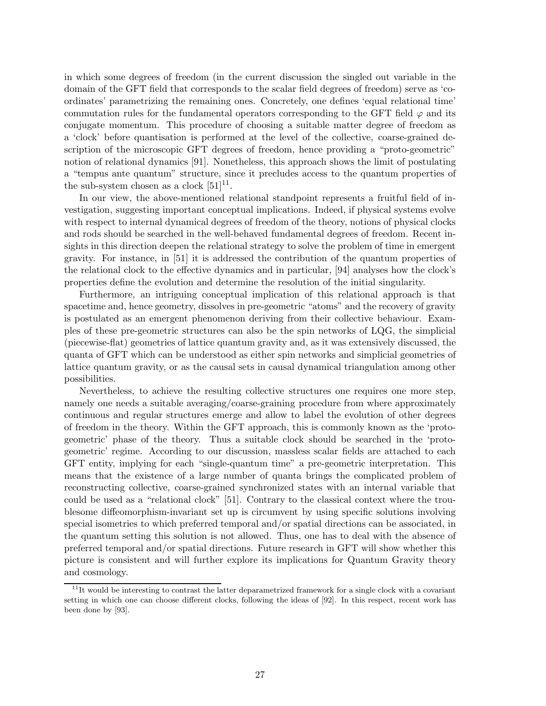in which some degrees of freedom (in the current discussion the singled out variable in the domain of the GFT field that corresponds to the scalar field degrees of freedom) serve as 'coordinates' parametrizing the remaining ones. Concretely, one defines 'equal relational time' commutation rules for the fundamental operators corresponding to the GFT field  $\varphi$  and its conjugate momentum. This procedure of choosing a suitable matter degree of freedom as a 'clock' before quantisation is performed at the level of the collective, coarse-grained description of the microscopic GFT degrees of freedom, hence providing a "proto-geometric" notion of relational dynamics [\[91\]](#page-33-7). Nonetheless, this approach shows the limit of postulating a "tempus ante quantum" structure, since it precludes access to the quantum properties of the sub-system chosen as a clock  $[51]^{11}$  $[51]^{11}$  $[51]^{11}$ .

In our view, the above-mentioned relational standpoint represents a fruitful field of investigation, suggesting important conceptual implications. Indeed, if physical systems evolve with respect to internal dynamical degrees of freedom of the theory, notions of physical clocks and rods should be searched in the well-behaved fundamental degrees of freedom. Recent insights in this direction deepen the relational strategy to solve the problem of time in emergent gravity. For instance, in [\[51\]](#page-30-9) it is addressed the contribution of the quantum properties of the relational clock to the effective dynamics and in particular, [\[94\]](#page-33-8) analyses how the clock's properties define the evolution and determine the resolution of the initial singularity.

Furthermore, an intriguing conceptual implication of this relational approach is that spacetime and, hence geometry, dissolves in pre-geometric "atoms" and the recovery of gravity is postulated as an emergent phenomenon deriving from their collective behaviour. Examples of these pre-geometric structures can also be the spin networks of LQG, the simplicial (piecewise-flat) geometries of lattice quantum gravity and, as it was extensively discussed, the quanta of GFT which can be understood as either spin networks and simplicial geometries of lattice quantum gravity, or as the causal sets in causal dynamical triangulation among other possibilities.

Nevertheless, to achieve the resulting collective structures one requires one more step, namely one needs a suitable averaging/coarse-graining procedure from where approximately continuous and regular structures emerge and allow to label the evolution of other degrees of freedom in the theory. Within the GFT approach, this is commonly known as the 'protogeometric' phase of the theory. Thus a suitable clock should be searched in the 'protogeometric' regime. According to our discussion, massless scalar fields are attached to each GFT entity, implying for each "single-quantum time" a pre-geometric interpretation. This means that the existence of a large number of quanta brings the complicated problem of reconstructing collective, coarse-grained synchronized states with an internal variable that could be used as a "relational clock" [\[51\]](#page-30-9). Contrary to the classical context where the troublesome diffeomorphism-invariant set up is circumvent by using specific solutions involving special isometries to which preferred temporal and/or spatial directions can be associated, in the quantum setting this solution is not allowed. Thus, one has to deal with the absence of preferred temporal and/or spatial directions. Future research in GFT will show whether this picture is consistent and will further explore its implications for Quantum Gravity theory and cosmology.

<span id="page-26-0"></span> $11$ It would be interesting to contrast the latter deparametrized framework for a single clock with a covariant setting in which one can choose different clocks, following the ideas of [\[92\]](#page-33-9). In this respect, recent work has been done by [\[93\]](#page-33-10).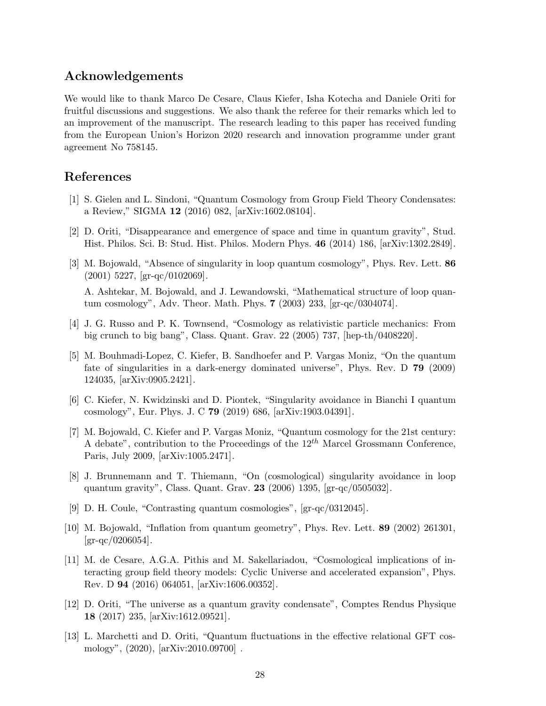## Acknowledgements

We would like to thank Marco De Cesare, Claus Kiefer, Isha Kotecha and Daniele Oriti for fruitful discussions and suggestions. We also thank the referee for their remarks which led to an improvement of the manuscript. The research leading to this paper has received funding from the European Union's Horizon 2020 research and innovation programme under grant agreement No 758145.

# <span id="page-27-0"></span>References

- <span id="page-27-1"></span>[1] S. Gielen and L. Sindoni, "Quantum Cosmology from Group Field Theory Condensates: a Review," SIGMA 12 (2016) 082, [\[arXiv:1602.08104\].](https://arxiv.org/abs/1602.08104)
- <span id="page-27-2"></span>[2] D. Oriti, "Disappearance and emergence of space and time in quantum gravity", Stud. Hist. Philos. Sci. B: Stud. Hist. Philos. Modern Phys. 46 (2014) 186, [\[arXiv:1302.2849\].](https://arxiv.org/abs/1302.2849)
- [3] M. Bojowald, "Absence of singularity in loop quantum cosmology", Phys. Rev. Lett. 86  $(2001)$  5227, [\[gr-qc/0102069\].](https://arxiv.org/abs/gr-qc/0102069)

A. Ashtekar, M. Bojowald, and J. Lewandowski, "Mathematical structure of loop quantum cosmology", Adv. Theor. Math. Phys. 7 (2003) 233, [\[gr-qc/0304074\].](https://arxiv.org/abs/gr-qc/0304074)

- <span id="page-27-9"></span><span id="page-27-8"></span>[4] J. G. Russo and P. K. Townsend, "Cosmology as relativistic particle mechanics: From big crunch to big bang", Class. Quant. Grav. 22 (2005) 737, [\[hep-th/0408220\].](https://arxiv.org/abs/hep-th/0408220)
- [5] M. Bouhmadi-Lopez, C. Kiefer, B. Sandhoefer and P. Vargas Moniz, "On the quantum fate of singularities in a dark-energy dominated universe", Phys. Rev. D 79 (2009) 124035, [\[arXiv:0905.2421\].](https://arxiv.org/abs/0905.2421)
- <span id="page-27-10"></span>[6] C. Kiefer, N. Kwidzinski and D. Piontek, "Singularity avoidance in Bianchi I quantum cosmology", Eur. Phys. J. C 79 (2019) 686, [\[arXiv:1903.04391\].](https://arxiv.org/abs/1903.04391)
- <span id="page-27-11"></span>[7] M. Bojowald, C. Kiefer and P. Vargas Moniz, "Quantum cosmology for the 21st century: A debate", contribution to the Proceedings of the  $12^{th}$  Marcel Grossmann Conference, Paris, July 2009, [\[arXiv:1005.2471\].](https://arxiv.org/abs/1005.2471)
- <span id="page-27-12"></span><span id="page-27-3"></span>[8] J. Brunnemann and T. Thiemann, "On (cosmological) singularity avoidance in loop quantum gravity", Class. Quant. Grav. 23 (2006) 1395, [\[gr-qc/0505032\].](https://arxiv.org/abs/gr-qc/0505032)
- <span id="page-27-4"></span>[9] D. H. Coule, "Contrasting quantum cosmologies", [\[gr-qc/0312045\].](https://arxiv.org/abs/gr-qc/0312045)
- [10] M. Bojowald, "Inflation from quantum geometry", Phys. Rev. Lett. 89 (2002) 261301,  $\rm{[gr-qc/0206054]}$ .
- <span id="page-27-5"></span>[11] M. de Cesare, A.G.A. Pithis and M. Sakellariadou, "Cosmological implications of interacting group field theory models: Cyclic Universe and accelerated expansion", Phys. Rev. D 94 (2016) 064051, [\[arXiv:1606.00352\].](https://arxiv.org/abs/1606.00352)
- <span id="page-27-6"></span>[12] D. Oriti, "The universe as a quantum gravity condensate", Comptes Rendus Physique 18 (2017) 235, [\[arXiv:1612.09521\].](https://arxiv.org/abs/1612.09521)
- <span id="page-27-7"></span>[13] L. Marchetti and D. Oriti, "Quantum fluctuations in the effective relational GFT cosmology", (2020), [\[arXiv:2010.09700\]](https://arxiv.org/abs/2010.09700) .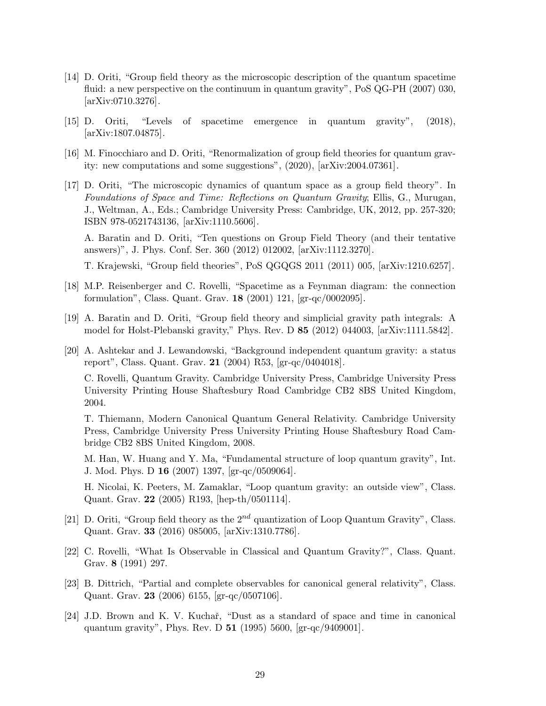- <span id="page-28-0"></span>[14] D. Oriti, "Group field theory as the microscopic description of the quantum spacetime fluid: a new perspective on the continuum in quantum gravity", PoS QG-PH (2007) 030, [\[arXiv:0710.3276\].](https://arxiv.org/abs/abs/0710.3276)
- <span id="page-28-2"></span><span id="page-28-1"></span>[15] D. Oriti, "Levels of spacetime emergence in quantum gravity", (2018), [\[arXiv:1807.04875\].](https://arxiv.org/abs/1807.04875)
- <span id="page-28-3"></span>[16] M. Finocchiaro and D. Oriti, "Renormalization of group field theories for quantum gravity: new computations and some suggestions", (2020), [\[arXiv:2004.07361\].](https://arxiv.org/abs/2004.07361)
- [17] D. Oriti, "The microscopic dynamics of quantum space as a group field theory". In Foundations of Space and Time: Reflections on Quantum Gravity; Ellis, G., Murugan, J., Weltman, A., Eds.; Cambridge University Press: Cambridge, UK, 2012, pp. 257-320; ISBN 978-0521743136, [\[arXiv:1110.5606\].](https://arxiv.org/abs/1110.5606)

A. Baratin and D. Oriti, "Ten questions on Group Field Theory (and their tentative answers)", J. Phys. Conf. Ser. 360 (2012) 012002, [\[arXiv:1112.3270\].](https://arxiv.org/abs/1112.3270)

T. Krajewski, "Group field theories", PoS QGQGS 2011 (2011) 005, [\[arXiv:1210.6257\].](https://arxiv.org/abs/1210.6257)

- <span id="page-28-4"></span>[18] M.P. Reisenberger and C. Rovelli, "Spacetime as a Feynman diagram: the connection formulation", Class. Quant. Grav. 18 (2001) 121, [\[gr-qc/0002095\].](https://arxiv.org/abs/gr-qc/0002095)
- <span id="page-28-6"></span><span id="page-28-5"></span>[19] A. Baratin and D. Oriti, "Group field theory and simplicial gravity path integrals: A model for Holst-Plebanski gravity," Phys. Rev. D 85 (2012) 044003, [\[arXiv:1111.5842\].](https://arxiv.org/abs/1111.5842)
- [20] A. Ashtekar and J. Lewandowski, "Background independent quantum gravity: a status report", Class. Quant. Grav. 21 (2004) R53, [\[gr-qc/0404018\].](https://arxiv.org/abs/gr-qc/0404018)

C. Rovelli, Quantum Gravity. Cambridge University Press, Cambridge University Press University Printing House Shaftesbury Road Cambridge CB2 8BS United Kingdom, 2004.

T. Thiemann, Modern Canonical Quantum General Relativity. Cambridge University Press, Cambridge University Press University Printing House Shaftesbury Road Cambridge CB2 8BS United Kingdom, 2008.

M. Han, W. Huang and Y. Ma, "Fundamental structure of loop quantum gravity", Int. J. Mod. Phys. D 16 (2007) 1397, [\[gr-qc/0509064\].](https://arxiv.org/abs/gr-qc/0509064)

H. Nicolai, K. Peeters, M. Zamaklar, "Loop quantum gravity: an outside view", Class. Quant. Grav. 22 (2005) R193, [\[hep-th/0501114\].](https://arxiv.org/abs/hep-th/0501114)

- <span id="page-28-7"></span>[21] D. Oriti, "Group field theory as the  $2^{nd}$  quantization of Loop Quantum Gravity", Class. Quant. Grav. 33 (2016) 085005, [\[arXiv:1310.7786\].](https://arxiv.org/abs/1310.7786)
- <span id="page-28-8"></span>[22] C. Rovelli, "What Is Observable in Classical and Quantum Gravity?", Class. Quant. Grav. 8 (1991) 297.
- [23] B. Dittrich, "Partial and complete observables for canonical general relativity", Class. Quant. Grav. 23 (2006) 6155, [\[gr-qc/0507106\].](https://arxiv.org/abs/gr-qc/0507106)
- <span id="page-28-9"></span>[24] J.D. Brown and K. V. Kuchař, "Dust as a standard of space and time in canonical quantum gravity", Phys. Rev. D 51 (1995) 5600, [\[gr-qc/9409001\].](https://arxiv.org/abs/gr-qc/9409001)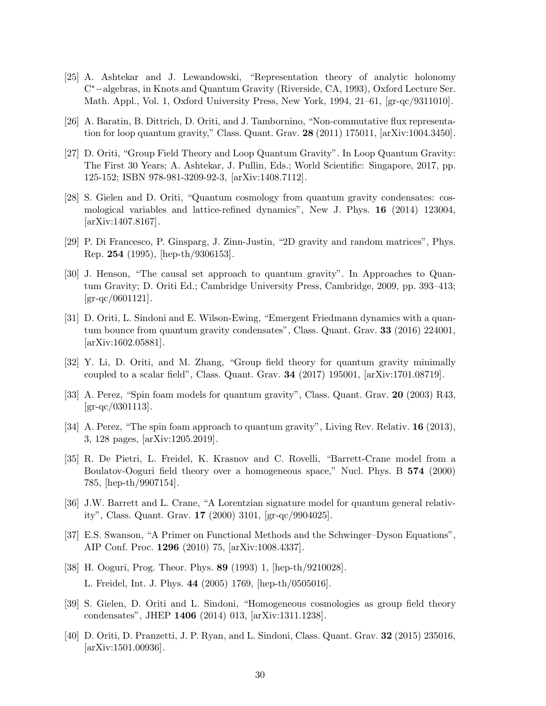- <span id="page-29-0"></span>[25] A. Ashtekar and J. Lewandowski, "Representation theory of analytic holonomy C <sup>∗</sup>−algebras, in Knots and Quantum Gravity (Riverside, CA, 1993), Oxford Lecture Ser. Math. Appl., Vol. 1, Oxford University Press, New York, 1994, 21–61, [\[gr-qc/9311010\].](https://arxiv.org/abs/gr-qc/9311010)
- <span id="page-29-2"></span><span id="page-29-1"></span>[26] A. Baratin, B. Dittrich, D. Oriti, and J. Tambornino, "Non-commutative flux representation for loop quantum gravity," Class. Quant. Grav. 28 (2011) 175011, [\[arXiv:1004.3450\].](https://arxiv.org/abs/1004.3450)
- [27] D. Oriti, "Group Field Theory and Loop Quantum Gravity". In Loop Quantum Gravity: The First 30 Years; A. Ashtekar, J. Pullin, Eds.; World Scientific: Singapore, 2017, pp. 125-152; ISBN 978-981-3209-92-3, [\[arXiv:1408.7112\].](https://arxiv.org/abs/1408.7112)
- <span id="page-29-3"></span>[28] S. Gielen and D. Oriti, "Quantum cosmology from quantum gravity condensates: cosmological variables and lattice-refined dynamics", New J. Phys. 16 (2014) 123004, [\[arXiv:1407.8167\].](https://arxiv.org/abs/1407.8167)
- <span id="page-29-7"></span><span id="page-29-4"></span>[29] P. Di Francesco, P. Ginsparg, J. Zinn-Justin, "2D gravity and random matrices", Phys. Rep. 254 (1995), [\[hep-th/9306153\].](https://arxiv.org/abs/hep-th/9306153)
- [30] J. Henson, "The causal set approach to quantum gravity". In Approaches to Quantum Gravity; D. Oriti Ed.; Cambridge University Press, Cambridge, 2009, pp. 393–413;  $\rm{[gr-qc/0601121]}$ .
- <span id="page-29-5"></span>[31] D. Oriti, L. Sindoni and E. Wilson-Ewing, "Emergent Friedmann dynamics with a quantum bounce from quantum gravity condensates", Class. Quant. Grav. 33 (2016) 224001, [\[arXiv:1602.05881\].](https://arxiv.org/abs/1602.05881)
- <span id="page-29-6"></span>[32] Y. Li, D. Oriti, and M. Zhang, "Group field theory for quantum gravity minimally coupled to a scalar field", Class. Quant. Grav. 34 (2017) 195001, [\[arXiv:1701.08719\].](https://arxiv.org/abs/1701.08719)
- <span id="page-29-8"></span>[33] A. Perez, "Spin foam models for quantum gravity", Class. Quant. Grav. 20 (2003) R43,  $\rm [gr\text{-}qc/0301113].$
- <span id="page-29-9"></span>[34] A. Perez, "The spin foam approach to quantum gravity", Living Rev. Relativ. **16** (2013), 3, 128 pages, [\[arXiv:1205.2019\].](https://arxiv.org/abs/1205.2019)
- <span id="page-29-10"></span>[35] R. De Pietri, L. Freidel, K. Krasnov and C. Rovelli, "Barrett-Crane model from a Boulatov-Ooguri field theory over a homogeneous space," Nucl. Phys. B 574 (2000) 785, [\[hep-th/9907154\].](https://arxiv.org/abs/hep-th/9907154)
- <span id="page-29-11"></span>[36] J.W. Barrett and L. Crane, "A Lorentzian signature model for quantum general relativity", Class. Quant. Grav. 17 (2000) 3101, [\[gr-qc/9904025\].](https://arxiv.org/abs/gr-qc/9904025)
- <span id="page-29-12"></span>[37] E.S. Swanson, "A Primer on Functional Methods and the Schwinger–Dyson Equations", AIP Conf. Proc. 1296 (2010) 75, [\[arXiv:1008.4337\].](https://arxiv.org/abs/1008.4337)
- <span id="page-29-13"></span>[38] H. Ooguri, Prog. Theor. Phys. 89 (1993) 1, [\[hep-th/9210028\].](https://arxiv.org/abs/hep-th/9210028) L. Freidel, Int. J. Phys. 44 (2005) 1769, [\[hep-th/0505016\].](https://arxiv.org/abs/hep-th/0505016)
- <span id="page-29-14"></span>[39] S. Gielen, D. Oriti and L. Sindoni, "Homogeneous cosmologies as group field theory condensates", JHEP 1406 (2014) 013, [\[arXiv:1311.1238\].](https://arxiv.org/abs/1311.1238)
- <span id="page-29-15"></span>[40] D. Oriti, D. Pranzetti, J. P. Ryan, and L. Sindoni, Class. Quant. Grav. 32 (2015) 235016, [\[arXiv:1501.00936\].](https://arxiv.org/abs/1501.00936)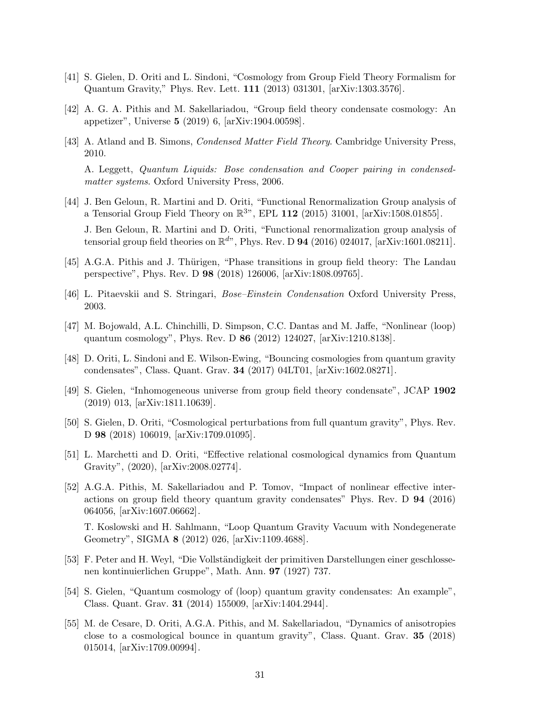- <span id="page-30-1"></span><span id="page-30-0"></span>[41] S. Gielen, D. Oriti and L. Sindoni, "Cosmology from Group Field Theory Formalism for Quantum Gravity," Phys. Rev. Lett. 111 (2013) 031301, [\[arXiv:1303.3576\].](https://arxiv.org/abs/1303.3576)
- <span id="page-30-2"></span>[42] A. G. A. Pithis and M. Sakellariadou, "Group field theory condensate cosmology: An appetizer", Universe 5 (2019) 6, [\[arXiv:1904.00598\].](https://arxiv.org/abs/1904.00598)
- [43] A. Atland and B. Simons, Condensed Matter Field Theory. Cambridge University Press, 2010. A. Leggett, Quantum Liquids: Bose condensation and Cooper pairing in condensed-

matter systems. Oxford University Press, 2006.

- <span id="page-30-3"></span>[44] J. Ben Geloun, R. Martini and D. Oriti, "Functional Renormalization Group analysis of a Tensorial Group Field Theory on  $\mathbb{R}^{3n}$ , EPL 112 (2015) 31001, [\[arXiv:1508.01855\].](https://arxiv.org/abs/1508.01855) J. Ben Geloun, R. Martini and D. Oriti, "Functional renormalization group analysis of tensorial group field theories on  $\mathbb{R}^{d}$ , Phys. Rev. D **94** (2016) 024017, [\[arXiv:1601.08211\].](https://arxiv.org/abs/1601.08211)
- <span id="page-30-5"></span><span id="page-30-4"></span>[45] A.G.A. Pithis and J. Thürigen, "Phase transitions in group field theory: The Landau perspective", Phys. Rev. D 98 (2018) 126006, [\[arXiv:1808.09765\].](https://arxiv.org/abs/1808.09765)
- <span id="page-30-6"></span>[46] L. Pitaevskii and S. Stringari, Bose–Einstein Condensation Oxford University Press, 2003.
- <span id="page-30-7"></span>[47] M. Bojowald, A.L. Chinchilli, D. Simpson, C.C. Dantas and M. Jaffe, "Nonlinear (loop) quantum cosmology", Phys. Rev. D 86 (2012) 124027, [\[arXiv:1210.8138\].](https://arxiv.org/abs/1210.8138)
- [48] D. Oriti, L. Sindoni and E. Wilson-Ewing, "Bouncing cosmologies from quantum gravity condensates", Class. Quant. Grav. 34 (2017) 04LT01, [\[arXiv:1602.08271\].](https://arxiv.org/abs/1602.08271)
- <span id="page-30-14"></span><span id="page-30-8"></span>[49] S. Gielen, "Inhomogeneous universe from group field theory condensate", JCAP 1902 (2019) 013, [\[arXiv:1811.10639\].](https://arxiv.org/abs/1811.10639)
- [50] S. Gielen, D. Oriti, "Cosmological perturbations from full quantum gravity", Phys. Rev. D 98 (2018) 106019, [\[arXiv:1709.01095\].](https://arxiv.org/abs/1709.01095)
- <span id="page-30-9"></span>[51] L. Marchetti and D. Oriti, "Effective relational cosmological dynamics from Quantum Gravity", (2020), [\[arXiv:2008.02774\].](https://arxiv.org/abs/2008.02774)
- <span id="page-30-10"></span>[52] A.G.A. Pithis, M. Sakellariadou and P. Tomov, "Impact of nonlinear effective interactions on group field theory quantum gravity condensates" Phys. Rev. D 94 (2016) 064056, [\[arXiv:1607.06662\].](https://arxiv.org/abs/1607.06662)

T. Koslowski and H. Sahlmann, "Loop Quantum Gravity Vacuum with Nondegenerate Geometry", SIGMA 8 (2012) 026, [\[arXiv:1109.4688\].](https://arxiv.org/abs/1109.4688)

- <span id="page-30-11"></span>[53] F. Peter and H. Weyl, "Die Vollständigkeit der primitiven Darstellungen einer geschlossenen kontinuierlichen Gruppe", Math. Ann. 97 (1927) 737.
- <span id="page-30-12"></span>[54] S. Gielen, "Quantum cosmology of (loop) quantum gravity condensates: An example", Class. Quant. Grav. 31 (2014) 155009, [\[arXiv:1404.2944\].](https://arxiv.org/abs/1404.2944)
- <span id="page-30-13"></span>[55] M. de Cesare, D. Oriti, A.G.A. Pithis, and M. Sakellariadou, "Dynamics of anisotropies close to a cosmological bounce in quantum gravity", Class. Quant. Grav. 35 (2018) 015014, [\[arXiv:1709.00994\].](https://arxiv.org/abs/1709.00994)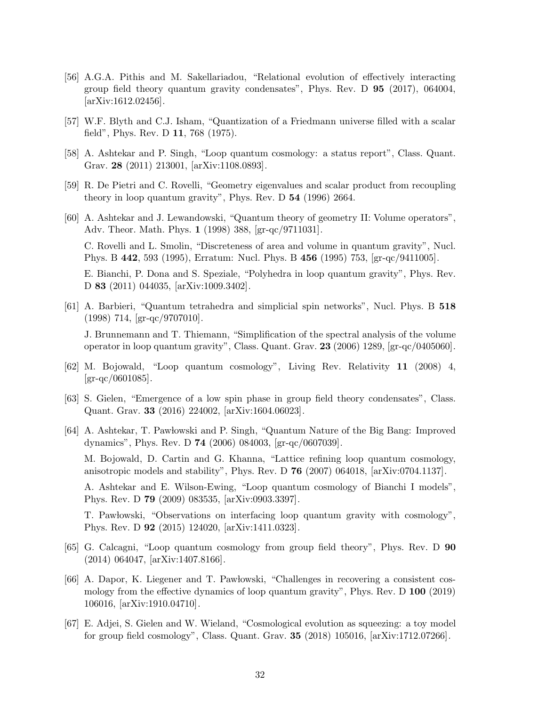- <span id="page-31-0"></span>[56] A.G.A. Pithis and M. Sakellariadou, "Relational evolution of effectively interacting group field theory quantum gravity condensates", Phys. Rev. D 95 (2017), 064004, [\[arXiv:1612.02456\].](https://arxiv.org/abs/1612.02456)
- <span id="page-31-2"></span><span id="page-31-1"></span>[57] W.F. Blyth and C.J. Isham, "Quantization of a Friedmann universe filled with a scalar field", Phys. Rev. D 11, 768 (1975).
- <span id="page-31-3"></span>[58] A. Ashtekar and P. Singh, "Loop quantum cosmology: a status report", Class. Quant. Grav. 28 (2011) 213001, [\[arXiv:1108.0893\].](https://arxiv.org/abs/1108.0893)
- <span id="page-31-4"></span>[59] R. De Pietri and C. Rovelli, "Geometry eigenvalues and scalar product from recoupling theory in loop quantum gravity", Phys. Rev. D 54 (1996) 2664.
- [60] A. Ashtekar and J. Lewandowski, "Quantum theory of geometry II: Volume operators", Adv. Theor. Math. Phys. 1 (1998) 388, [\[gr-qc/9711031\].](https://arxiv.org/abs/gr-qc/9711031) C. Rovelli and L. Smolin, "Discreteness of area and volume in quantum gravity", Nucl. Phys. B 442, 593 (1995), Erratum: Nucl. Phys. B 456 (1995) 753, [\[gr-qc/9411005\].](https://arxiv.org/abs/gr-qc/9411005) E. Bianchi, P. Dona and S. Speziale, "Polyhedra in loop quantum gravity", Phys. Rev. D 83 (2011) 044035, [\[arXiv:1009.3402\].](https://arxiv.org/abs/1009.3402)
- <span id="page-31-5"></span>[61] A. Barbieri, "Quantum tetrahedra and simplicial spin networks", Nucl. Phys. B 518 (1998) 714, [\[gr-qc/9707010\].](https://arxiv.org/abs/gr-qc/9707010)

J. Brunnemann and T. Thiemann, "Simplification of the spectral analysis of the volume operator in loop quantum gravity", Class. Quant. Grav. 23 (2006) 1289, [\[gr-qc/0405060\].](https://arxiv.org/abs/gr-qc/0405060)

- <span id="page-31-6"></span>[62] M. Bojowald, "Loop quantum cosmology", Living Rev. Relativity 11 (2008) 4,  $[\text{gr-qc}/0601085]$ .
- <span id="page-31-7"></span>[63] S. Gielen, "Emergence of a low spin phase in group field theory condensates", Class. Quant. Grav. 33 (2016) 224002, [\[arXiv:1604.06023\].](https://arxiv.org/abs/1604.06023)
- <span id="page-31-8"></span>[64] A. Ashtekar, T. Paw lowski and P. Singh, "Quantum Nature of the Big Bang: Improved dynamics", Phys. Rev. D 74 (2006) 084003, [\[gr-qc/0607039\].](https://arxiv.org/abs/gr-qc/0607039)

M. Bojowald, D. Cartin and G. Khanna, "Lattice refining loop quantum cosmology, anisotropic models and stability", Phys. Rev. D 76 (2007) 064018, [\[arXiv:0704.1137\].](https://arxiv.org/abs/0704.1137)

A. Ashtekar and E. Wilson-Ewing, "Loop quantum cosmology of Bianchi I models", Phys. Rev. D 79 (2009) 083535, [\[arXiv:0903.3397\].](https://arxiv.org/abs/0903.3397)

T. Paw lowski, "Observations on interfacing loop quantum gravity with cosmology", Phys. Rev. D 92 (2015) 124020, [\[arXiv:1411.0323\].](https://arxiv.org/abs/1411.0323)

- <span id="page-31-9"></span>[65] G. Calcagni, "Loop quantum cosmology from group field theory", Phys. Rev. D 90 (2014) 064047, [\[arXiv:1407.8166\].](https://arxiv.org/abs/1407.8166)
- <span id="page-31-10"></span>[66] A. Dapor, K. Liegener and T. Paw lowski, "Challenges in recovering a consistent cosmology from the effective dynamics of loop quantum gravity", Phys. Rev. D 100 (2019) 106016, [\[arXiv:1910.04710\].](https://arxiv.org/abs/1910.04710)
- <span id="page-31-11"></span>[67] E. Adjei, S. Gielen and W. Wieland, "Cosmological evolution as squeezing: a toy model for group field cosmology", Class. Quant. Grav. 35 (2018) 105016, [\[arXiv:1712.07266\].](https://arxiv.org/abs/1712.07266)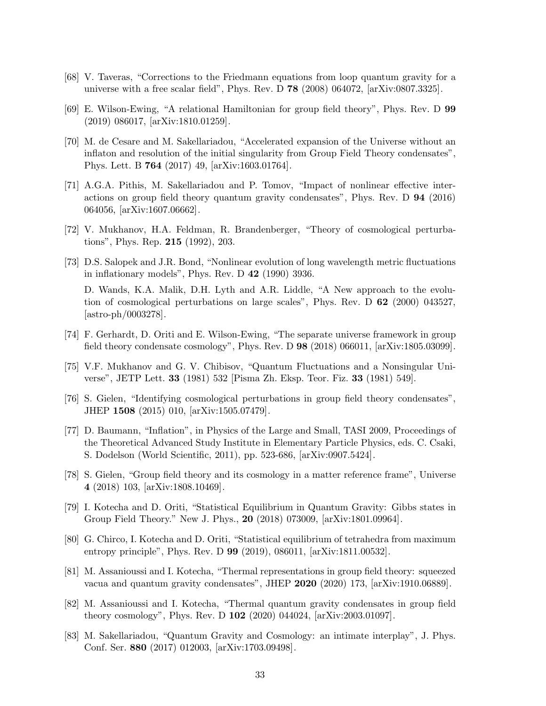- <span id="page-32-1"></span><span id="page-32-0"></span>[68] V. Taveras, "Corrections to the Friedmann equations from loop quantum gravity for a universe with a free scalar field", Phys. Rev. D 78 (2008) 064072, [\[arXiv:0807.3325\].](https://arxiv.org/abs/0807.3325)
- <span id="page-32-2"></span>[69] E. Wilson-Ewing, "A relational Hamiltonian for group field theory", Phys. Rev. D 99 (2019) 086017, [\[arXiv:1810.01259\].](https://arxiv.org/abs/1810.01259)
- [70] M. de Cesare and M. Sakellariadou, "Accelerated expansion of the Universe without an inflaton and resolution of the initial singularity from Group Field Theory condensates", Phys. Lett. B 764 (2017) 49, [\[arXiv:1603.01764\].](https://arxiv.org/abs/1603.01764)
- <span id="page-32-3"></span>[71] A.G.A. Pithis, M. Sakellariadou and P. Tomov, "Impact of nonlinear effective interactions on group field theory quantum gravity condensates", Phys. Rev. D 94 (2016) 064056, [\[arXiv:1607.06662\].](https://arxiv.org/abs/1607.06662)
- <span id="page-32-5"></span><span id="page-32-4"></span>[72] V. Mukhanov, H.A. Feldman, R. Brandenberger, "Theory of cosmological perturbations", Phys. Rep. 215 (1992), 203.
- [73] D.S. Salopek and J.R. Bond, "Nonlinear evolution of long wavelength metric fluctuations in inflationary models", Phys. Rev. D 42 (1990) 3936. D. Wands, K.A. Malik, D.H. Lyth and A.R. Liddle, "A New approach to the evolution of cosmological perturbations on large scales", Phys. Rev. D 62 (2000) 043527, [\[astro-ph/0003278\].](https://arxiv.org/abs/astro-ph/0003278)
- <span id="page-32-6"></span>[74] F. Gerhardt, D. Oriti and E. Wilson-Ewing, "The separate universe framework in group field theory condensate cosmology", Phys. Rev. D 98 (2018) 066011, [\[arXiv:1805.03099\].](https://arxiv.org/abs/1805.03099)
- <span id="page-32-8"></span><span id="page-32-7"></span>[75] V.F. Mukhanov and G. V. Chibisov, "Quantum Fluctuations and a Nonsingular Universe", JETP Lett. 33 (1981) 532 [Pisma Zh. Eksp. Teor. Fiz. 33 (1981) 549].
- <span id="page-32-9"></span>[76] S. Gielen, "Identifying cosmological perturbations in group field theory condensates", JHEP 1508 (2015) 010, [\[arXiv:1505.07479\].](https://arxiv.org/abs/1505.07479)
- [77] D. Baumann, "Inflation", in Physics of the Large and Small, TASI 2009, Proceedings of the Theoretical Advanced Study Institute in Elementary Particle Physics, eds. C. Csaki, S. Dodelson (World Scientific, 2011), pp. 523-686, [\[arXiv:0907.5424\].](https://arxiv.org/abs/0907.5424)
- <span id="page-32-10"></span>[78] S. Gielen, "Group field theory and its cosmology in a matter reference frame", Universe 4 (2018) 103, [\[arXiv:1808.10469\].](https://arxiv.org/abs/1808.10469)
- <span id="page-32-11"></span>[79] I. Kotecha and D. Oriti, "Statistical Equilibrium in Quantum Gravity: Gibbs states in Group Field Theory." New J. Phys., 20 (2018) 073009, [\[arXiv:1801.09964\].](https://arxiv.org/abs/1801.09964)
- <span id="page-32-12"></span>[80] G. Chirco, I. Kotecha and D. Oriti, "Statistical equilibrium of tetrahedra from maximum entropy principle", Phys. Rev. D 99 (2019), 086011, [\[arXiv:1811.00532\].](https://arxiv.org/abs/1811.00532)
- <span id="page-32-13"></span>[81] M. Assanioussi and I. Kotecha, "Thermal representations in group field theory: squeezed vacua and quantum gravity condensates", JHEP 2020 (2020) 173, [\[arXiv:1910.06889\].](https://arxiv.org/abs/1910.06889)
- <span id="page-32-14"></span>[82] M. Assanioussi and I. Kotecha, "Thermal quantum gravity condensates in group field theory cosmology", Phys. Rev. D 102 (2020) 044024, [\[arXiv:2003.01097\].](https://arxiv.org/abs/2003.01097)
- <span id="page-32-15"></span>[83] M. Sakellariadou, "Quantum Gravity and Cosmology: an intimate interplay", J. Phys. Conf. Ser. 880 (2017) 012003, [\[arXiv:1703.09498\].](https://arxiv.org/abs/1703.09498)